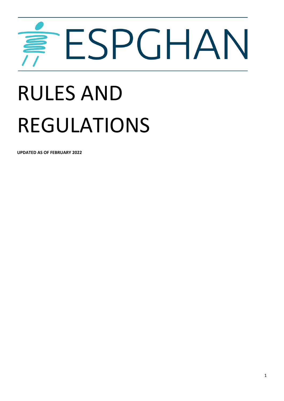# ESPGHAN

# RULES AND REGULATIONS

**UPDATED AS OF FEBRUARY 2022**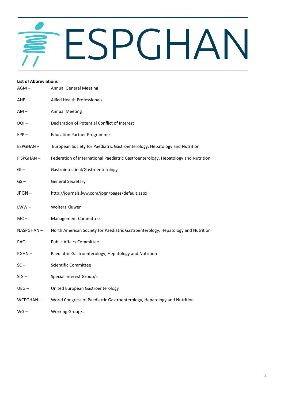# ESPGHAN

| <b>List of Abbreviations</b> |                                                                                   |
|------------------------------|-----------------------------------------------------------------------------------|
| $AGM -$                      | <b>Annual General Meeting</b>                                                     |
| $AHP -$                      | <b>Allied Health Professionals</b>                                                |
| $AM -$                       | <b>Annual Meeting</b>                                                             |
| $DOI -$                      | Declaration of Potential Conflict of Interest                                     |
| $EPP -$                      | <b>Education Partner Programme</b>                                                |
| ESPGHAN-                     | European Society for Paediatric Gastroenterology, Hepatology and Nutrition        |
| FISPGHAN-                    | Federation of International Paediatric Gastroenterology, Hepatology and Nutrition |
| $GI -$                       | Gastrointestinal/Gastroenterology                                                 |
| $GS -$                       | <b>General Secretary</b>                                                          |
| JPGN-                        | http://journals.lww.com/jpgn/pages/default.aspx                                   |
| $LWW -$                      | <b>Wolters Kluwer</b>                                                             |
| $MC -$                       | Management Committee                                                              |
| NASPGHAN -                   | North American Society for Paediatric Gastroenterology, Hepatology and Nutrition  |
| $PAC -$                      | <b>Public Affairs Committee</b>                                                   |
| $PGHN -$                     | Paediatric Gastroenterology, Hepatology and Nutrition                             |
| $SC -$                       | Scientific Committee                                                              |
| $SIG -$                      | Special Interest Group/s                                                          |
| $UEG -$                      | United European Gastroenterology                                                  |
| WCPGHAN-                     | World Congress of Paediatric Gastroenterology, Hepatology and Nutrition           |
| $WG -$                       | Working Group/s                                                                   |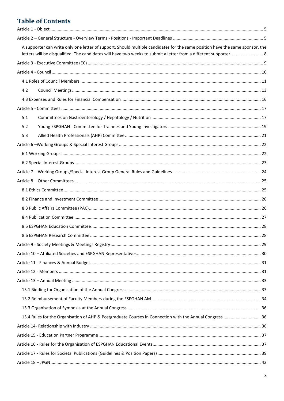# **Table of Contents**

|     | A supporter can write only one letter of support. Should multiple candidates for the same position have the same sponsor, the |  |
|-----|-------------------------------------------------------------------------------------------------------------------------------|--|
|     |                                                                                                                               |  |
|     |                                                                                                                               |  |
|     |                                                                                                                               |  |
| 4.2 |                                                                                                                               |  |
|     |                                                                                                                               |  |
|     |                                                                                                                               |  |
| 5.1 |                                                                                                                               |  |
| 5.2 |                                                                                                                               |  |
| 5.3 |                                                                                                                               |  |
|     |                                                                                                                               |  |
|     |                                                                                                                               |  |
|     |                                                                                                                               |  |
|     |                                                                                                                               |  |
|     |                                                                                                                               |  |
|     |                                                                                                                               |  |
|     |                                                                                                                               |  |
|     |                                                                                                                               |  |
|     |                                                                                                                               |  |
|     |                                                                                                                               |  |
|     |                                                                                                                               |  |
|     |                                                                                                                               |  |
|     |                                                                                                                               |  |
|     |                                                                                                                               |  |
|     |                                                                                                                               |  |
|     |                                                                                                                               |  |
|     |                                                                                                                               |  |
|     |                                                                                                                               |  |
|     |                                                                                                                               |  |
|     | 13.4 Rules for the Organisation of AHP & Postgraduate Courses in Connection with the Annual Congress  36                      |  |
|     |                                                                                                                               |  |
|     |                                                                                                                               |  |
|     |                                                                                                                               |  |
|     |                                                                                                                               |  |
|     |                                                                                                                               |  |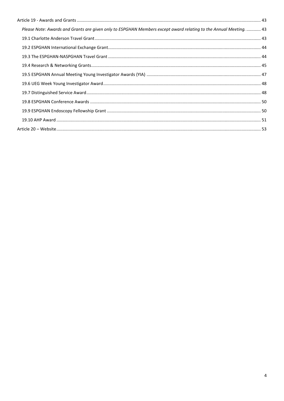| Please Note: Awards and Grants are given only to ESPGHAN Members except award relating to the Annual Meeting.  43 |  |
|-------------------------------------------------------------------------------------------------------------------|--|
|                                                                                                                   |  |
|                                                                                                                   |  |
|                                                                                                                   |  |
|                                                                                                                   |  |
|                                                                                                                   |  |
|                                                                                                                   |  |
|                                                                                                                   |  |
|                                                                                                                   |  |
|                                                                                                                   |  |
|                                                                                                                   |  |
|                                                                                                                   |  |
|                                                                                                                   |  |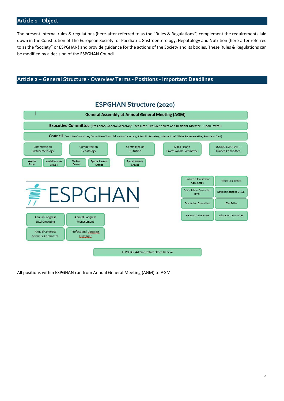# <span id="page-4-0"></span>**Article 1 - Object**

The present internal rules & regulations (here-after referred to as the "Rules & Regulations") complement the requirements laid down in the Constitution of The European Society for Paediatric Gastroenterology, Hepatology and Nutrition (here-after referred to as the "Society" or ESPGHAN) and provide guidance for the actions of the Society and its bodies. These Rules & Regulations can be modified by a decision of the ESPGHAN Council.

# <span id="page-4-1"></span>**Article 2 – General Structure - Overview Terms - Positions - Important Deadlines**

#### **ESPGHAN Structure (2020) General Assembly at Annual General Meeting (AGM)** Executive Committee (President, General Secretary, Treasurer (President elect and Resident Director - upon invite)) COUNCII (Executive Committee, Committee Chairs, Education Secretary, Scientific Secretary, International Affairs Representative, President Elect) Committee on Committee on Committee on **Allied Health** YOUNG ESPGHAN-Professionals Committee Gastroenterology Hepatology Nutrition **Trainee Committee** Working **Special Interest** Working **Special Interest Special Interest** Groups Groups Gro Groups **Groups** Finance & Investment **Ethics Committee** Committee  $P$ GHAN **Public Affairs Committee National Societies Group**  $(PAC)$ **Publication Committee JPGN Editor** Research Committee Education Committee **Annual Congress Annual Congress** Local Organising Management **Annual Congress Professional Congress Scientific Committee** Organiser **ESPGHAN Administrative Office Geneva**

All positions within ESPGHAN run from Annual General Meeting (AGM) to AGM.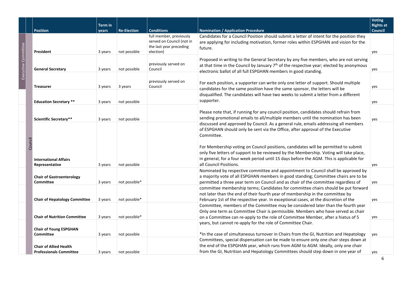|                     |         | <b>Position</b>                                                        | <b>Term</b> in     | <b>Re-Election</b>            | <b>Conditions</b>                                                                            | <b>Nomination / Application Procedure</b>                                                                                                                                                                                                                                                                                                                                                                                                                      | <b>Voting</b><br><b>Rights at</b><br><b>Council</b> |  |
|---------------------|---------|------------------------------------------------------------------------|--------------------|-------------------------------|----------------------------------------------------------------------------------------------|----------------------------------------------------------------------------------------------------------------------------------------------------------------------------------------------------------------------------------------------------------------------------------------------------------------------------------------------------------------------------------------------------------------------------------------------------------------|-----------------------------------------------------|--|
|                     |         | President                                                              | vears<br>3 years   | not possible                  | full member, previously<br>served on Council (not in<br>the last year preceding<br>election) | Candidates for a Council Position should submit a letter of intent for the position they<br>are applying for including motivation, former roles within ESPGHAN and vision for the<br>future.                                                                                                                                                                                                                                                                   | yes                                                 |  |
| Executive Committee |         | <b>General Secretary</b>                                               | 3 years            | not possible                  | previously served on<br>Council                                                              | Proposed in writing to the General Secretary by any five members, who are not serving<br>at that time in the Council by January $7th$ of the respective year; elected by anonymous<br>electronic ballot of all full ESPGHAN members in good standing.                                                                                                                                                                                                          | yes                                                 |  |
|                     |         | <b>Treasurer</b>                                                       | 3 years            | 3 years                       | previously served on<br>Council                                                              | For each position, a supporter can write only one letter of support. Should multiple<br>candidates for the same position have the same sponsor, the letters will be                                                                                                                                                                                                                                                                                            | yes                                                 |  |
|                     |         | <b>Education Secretary **</b>                                          | 3 years            | not possible                  |                                                                                              | disqualified. The candidates will have two weeks to submit a letter from a different<br>supporter.<br>yes                                                                                                                                                                                                                                                                                                                                                      |                                                     |  |
|                     |         | <b>Scientific Secretary**</b>                                          | 3 years            | not possible                  |                                                                                              | Please note that, if running for any council position, candidates should refrain from<br>sending promotional emails to all/multiple members until the nomination has been                                                                                                                                                                                                                                                                                      | yes                                                 |  |
|                     | Council | <b>International Affairs</b>                                           |                    |                               |                                                                                              | discussed and approved by Council. As a general rule, emails addressing all members<br>of ESPGHAN should only be sent via the Office, after approval of the Executive<br>Committee.<br>For Membership voting on Council positions, candidates will be permitted to submit<br>only five letters of support to be reviewed by the Membership. Voting will take place,<br>in general, for a four week period until 15 days before the AGM. This is applicable for |                                                     |  |
|                     |         | Representative<br><b>Chair of Gastroenterology</b><br><b>Committee</b> | 3 years<br>3 years | not possible<br>not possible* |                                                                                              | all Council Positions.<br>Nominated by respective committee and appointment to Council shall be approved by<br>a majority vote of all ESPGHAN members in good standing; Committee chairs are to be<br>permitted a three year term on Council and as chair of the committee regardless of                                                                                                                                                                       | yes<br>yes                                          |  |
|                     |         | <b>Chair of Hepatology Committee</b>                                   | 3 years            | not possible*                 |                                                                                              | committee membership terms; Candidates for committee chairs should be put forward<br>not later than the end of their fourth year of membership in the committee by<br>February 1st of the respective year. In exceptional cases, at the discretion of the                                                                                                                                                                                                      | yes                                                 |  |
|                     |         | <b>Chair of Nutrition Committee</b>                                    | 3 years            | not possible*                 |                                                                                              | Committee, members of the Committee may be considered later than the fourth year<br>Only one term as Committee Chair is permissible. Members who have served as chair<br>on a Committee can re-apply to the role of Committee Member, after a hiatus of 5                                                                                                                                                                                                      | yes                                                 |  |
|                     |         | <b>Chair of Young ESPGHAN</b><br><b>Committee</b>                      | 3 years            | not possible                  |                                                                                              | years, but cannot re-apply for the role of Committee Chair.<br>*In the case of simultaneous turnover in Chairs from the GI, Nutrition and Hepatology                                                                                                                                                                                                                                                                                                           | ves                                                 |  |
|                     |         | <b>Chair of Allied Health</b><br><b>Professionals Committee</b>        | 3 years            | not possible                  |                                                                                              | Committees, special dispensation can be made to ensure only one chair steps down at<br>the end of the ESPGHAN year, which runs from AGM to AGM. Ideally, only one chair<br>from the GI, Nutrition and Hepatology Committees should step down in one year of                                                                                                                                                                                                    | yes                                                 |  |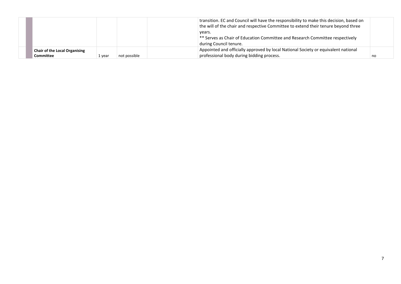| <b>Chair of the Local Organising</b> |  | during Council tenure.<br>Appointed and officially approved by local National Society or equivalent national |  |
|--------------------------------------|--|--------------------------------------------------------------------------------------------------------------|--|
|                                      |  | ** Serves as Chair of Education Committee and Research Committee respectively                                |  |
|                                      |  | years.                                                                                                       |  |
|                                      |  | the will of the chair and respective Committee to extend their tenure beyond three                           |  |
|                                      |  | transition. EC and Council will have the responsibility to make this decision, based on                      |  |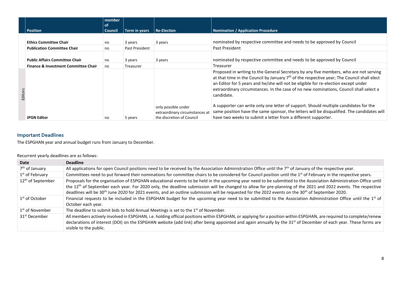|         |                                                                                          | member<br>of   |                           |                                                                                    |                                                                                                                                                                                                                                                                                                                                                                                     |
|---------|------------------------------------------------------------------------------------------|----------------|---------------------------|------------------------------------------------------------------------------------|-------------------------------------------------------------------------------------------------------------------------------------------------------------------------------------------------------------------------------------------------------------------------------------------------------------------------------------------------------------------------------------|
|         | <b>Position</b>                                                                          | <b>Council</b> | Term in years             | <b>Re-Election</b>                                                                 | <b>Nomination / Application Procedure</b>                                                                                                                                                                                                                                                                                                                                           |
|         | <b>Ethics Committee Chair</b><br><b>Publication Committee Chair</b>                      | no<br>no       | 3 years<br>Past President | 3 years                                                                            | nominated by respective committee and needs to be approved by Council<br>Past President                                                                                                                                                                                                                                                                                             |
|         | <b>Public Affairs Committee Chair</b><br><b>Finance &amp; Investment Committee Chair</b> | no<br>no       | 3 years<br>Treasurer      | 3 years                                                                            | nominated by respective committee and needs to be approved by Council<br>Treasurer                                                                                                                                                                                                                                                                                                  |
| Editors |                                                                                          |                |                           |                                                                                    | Proposed in writing to the General Secretary by any five members, who are not serving<br>at that time in the Council by January $7th$ of the respective year; The Council shall elect<br>an Editor for 5 years and he/she will not be eligible for re-election except under<br>extraordinary circumstances. In the case of no new nominations, Council shall select a<br>candidate. |
|         | <b>JPGN Editor</b>                                                                       | no             | 5 years                   | only possible under<br>extraordinary circumstances at<br>the discretion of Council | A supporter can write only one letter of support. Should multiple candidates for the<br>same position have the same sponsor, the letters will be disqualified. The candidates will<br>have two weeks to submit a letter from a different supporter.                                                                                                                                 |

# **Important Deadlines**

The ESPGHAN year and annual budget runs from January to December.

<span id="page-7-0"></span>

| Date                          | <b>Deadline</b>                                                                                                                                                             |
|-------------------------------|-----------------------------------------------------------------------------------------------------------------------------------------------------------------------------|
| 7 <sup>th</sup> of January    | All applications for open Council positions need to be received by the Association Administration Office until the $7th$ of January of the respective year.                 |
| 1 <sup>st</sup> of February   | Committees need to put forward their nominations for committee chairs to be considered for Council position until the 1 <sup>st</sup> of February in the respective years.  |
| 12 <sup>th</sup> of September | Proposals for the organisation of ESPGHAN educational events to be held in the upcoming year need to be submitted to the Association Administration Office until            |
|                               | the 12 <sup>th</sup> of September each year. For 2020 only, the deadline submission will be changed to allow for pre-planning of the 2021 and 2022 events. The respective   |
|                               | deadlines will be 30 <sup>th</sup> June 2020 for 2021 events, and an outline submission will be requested for the 2022 events on the 30 <sup>th</sup> of September 2020.    |
| $1st$ of October              | Financial requests to be included in the ESPGHAN budget for the upcoming year need to be submitted to the Association Administration Office until the 1 <sup>st</sup> of    |
|                               | October each year.                                                                                                                                                          |
| 1 <sup>st</sup> of November   | The deadline to submit bids to hold Annual Meetings is set to the 1 <sup>st</sup> of November.                                                                              |
| 31 <sup>st</sup> December     | All members actively involved in ESPGHAN, i.e. holding official positions within ESPGHAN, or applying for a position within ESPGHAN, are required to complete/renew         |
|                               | declarations of interest (DOI) on the ESPGHAN website (add link) after being appointed and again annually by the 31 <sup>st</sup> of December of each year. These forms are |
|                               | visible to the public.                                                                                                                                                      |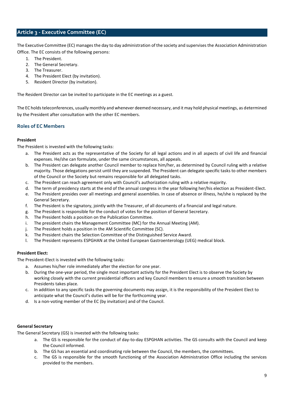# <span id="page-8-0"></span>**Article 3 - Executive Committee (EC)**

The Executive Committee (EC) manages the day to day administration of the society and supervises the Association Administration Office. The EC consists of the following persons:

- 1. The President.
- 2. The General Secretary.
- 3. The Treasurer.
- 4. The President Elect (by invitation).
- 5. Resident Director (by invitation).

The Resident Director can be invited to participate in the EC meetings as a guest.

The EC holds teleconferences, usually monthly and whenever deemed necessary, and it may hold physical meetings, as determined by the President after consultation with the other EC members.

# **Roles of EC Members**

#### **President**

The President is invested with the following tasks:

- a. The President acts as the representative of the Society for all legal actions and in all aspects of civil life and financial expenses. He/she can formulate, under the same circumstances, all appeals.
- b. The President can delegate another Council member to replace him/her, as determined by Council ruling with a relative majority. Those delegations persist until they are suspended. The President can delegate specific tasks to other members of the Council or the Society but remains responsible for all delegated tasks.
- c. The President can reach agreement only with Council's authorization ruling with a relative majority.
- d. The term of presidency starts at the end of the annual congress in the year following her/his election as President-Elect.
- e. The President presides over all meetings and general assemblies. In case of absence or illness, he/she is replaced by the General Secretary.
- f. The President is the signatory, jointly with the Treasurer, of all documents of a financial and legal nature.
- g. The President is responsible for the conduct of votes for the position of General Secretary.
- h. The President holds a position on the Publication Committee.
- i. The president chairs the Management Committee (MC) for the Annual Meeting (AM).
- j. The President holds a position in the AM Scientific Committee (SC).
- k. The President chairs the Selection Committee of the Distinguished Service Award.
- l. The President represents ESPGHAN at the United European Gastroenterology (UEG) medical block.

#### **President Elect:**

The President-Elect is invested with the following tasks:

- a. Assumes his/her role immediately after the election for one year.
- b. During the one-year period, the single most important activity for the President Elect is to observe the Society by working closely with the current presidential officers and key Council members to ensure a smooth transition between Presidents takes place.
- c. In addition to any specific tasks the governing documents may assign, it is the responsibility of the President Elect to anticipate what the Council's duties will be for the forthcoming year.
- d. Is a non-voting member of the EC (by invitation) and of the Council.

# **General Secretary**

The General Secretary (GS) is invested with the following tasks:

- a. The GS is responsible for the conduct of day-to-day ESPGHAN activities. The GS consults with the Council and keep the Council informed.
- b. The GS has an essential and coordinating role between the Council, the members, the committees.
- c. The GS is responsible for the smooth functioning of the Association Administration Office including the services provided to the members.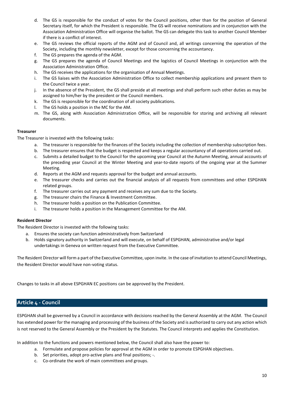- d. The GS is responsible for the conduct of votes for the Council positions, other than for the position of General Secretary itself, for which the President is responsible. The GS will receive nominations and in conjunction with the Association Administration Office will organise the ballot. The GS can delegate this task to another Council Member if there is a conflict of interest.
- e. The GS reviews the official reports of the AGM and of Council and, all writings concerning the operation of the Society, including the monthly newsletter, except for those concerning the accountancy.
- f. The GS prepares the agenda of the AGM.
- g. The GS prepares the agenda of Council Meetings and the logistics of Council Meetings in conjunction with the Association Administration Office.
- h. The GS receives the applications for the organisation of Annual Meetings.
- i. The GS liaises with the Association Administration Office to collect membership applications and present them to the Council twice a year.
- j. In the absence of the President, the GS shall preside at all meetings and shall perform such other duties as may be assigned to him/her by the president or the Council members.
- k. The GS is responsible for the coordination of all society publications.
- l. The GS holds a position in the MC for the AM.
- m. The GS, along with Association Administration Office, will be responsible for storing and archiving all relevant documents.

#### **Treasurer**

The Treasurer is invested with the following tasks:

- a. The treasurer is responsible for the finances of the Society including the collection of membership subscription fees.
- b. The treasurer ensures that the budget is respected and keeps a regular accountancy of all operations carried out.
- c. Submits a detailed budget to the Council for the upcoming year Council at the Autumn Meeting, annual accounts of the preceding year Council at the Winter Meeting and year-to-date reports of the ongoing year at the Summer Meeting.
- d. Reports at the AGM and requests approval for the budget and annual accounts.
- e. The treasurer checks and carries out the financial analysis of all requests from committees and other ESPGHAN related groups.
- f. The treasurer carries out any payment and receives any sum due to the Society.
- g. The treasurer chairs the Finance & Investment Committee.
- h. The treasurer holds a position on the Publication Committee.
- i. The treasurer holds a position in the Management Committee for the AM.

#### **Resident Director**

The Resident Director is invested with the following tasks:

- a. Ensures the society can function administratively from Switzerland
- b. Holds signatory authority in Switzerland and will execute, on behalf of ESPGHAN, administrative and/or legal undertakings in Geneva on written request from the Executive Committee.

The Resident Director will form a part of the Executive Committee, upon invite. In the case of invitation to attend Council Meetings, the Resident Director would have non-voting status.

<span id="page-9-0"></span>Changes to tasks in all above ESPGHAN EC positions can be approved by the President.

# **Article 4 - Council**

ESPGHAN shall be governed by a Council in accordance with decisions reached by the General Assembly at the AGM. The Council has extended power for the managing and processing of the business of the Society and is authorized to carry out any action which is not reserved to the General Assembly or the President by the Statutes. The Council interprets and applies the Constitution.

In addition to the functions and powers mentioned below, the Council shall also have the power to:

- a. Formulate and propose policies for approval at the AGM in order to promote ESPGHAN objectives.
- b. Set priorities, adopt pro-active plans and final positions; -.
- c. Co-ordinate the work of main committees and groups.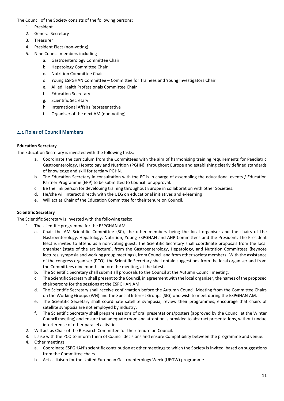The Council of the Society consists of the following persons:

- 1. President
- 2. General Secretary
- 3. Treasurer
- 4. President Elect (non-voting)
- 5. Nine Council members including
	- a. Gastroenterology Committee Chair
	- b. Hepatology Committee Chair
	- c. Nutrition Committee Chair
	- d. Young ESPGHAN Committee Committee for Trainees and Young Investigators Chair
	- e. Allied Health Professionals Committee Chair
	- f. Education Secretary
	- g. Scientific Secretary
	- h. International Affairs Representative
	- i. Organiser of the next AM (non-voting)

# <span id="page-10-0"></span>**4.1 Roles of Council Members**

# **Education Secretary**

The Education Secretary is invested with the following tasks:

- a. Coordinate the curriculum from the Committees with the aim of harmonising training requirements for Paediatric Gastroenterology, Hepatology and Nutrition (PGHN). throughout Europe and establishing clearly defined standards of knowledge and skill for tertiary PGHN.
- b. The Education Secretary in consultation with the EC is in charge of assembling the educational events / Education Partner Programme (EPP) to be submitted to Council for approval.
- c. Be the link person for developing training throughout Europe in collaboration with other Societies.
- d. He/she will interact directly with the UEG on educational initiatives and e-learning
- e. Will act as Chair of the Education Committee for their tenure on Council.

# **Scientific Secretary**

The Scientific Secretary is invested with the following tasks:

- 1. The scientific programme for the ESPGHAN AM.
	- a. Chair the AM Scientific Committee (SC), the other members being the local organiser and the chairs of the Gastroenterology, Hepatology, Nutrition, Young ESPGHAN and AHP Committees and the President. The President Elect is invited to attend as a non-voting guest. The Scientific Secretary shall coordinate proposals from the local organiser (state of the art lecture), from the Gastroenterology, Hepatology, and Nutrition Committees (keynote lectures, symposia and working group meetings), from Council and from other society members. With the assistance of the congress organiser (PCO), the Scientific Secretary shall obtain suggestions from the local organiser and from the Committees nine months before the meeting, at the latest.
	- b. The Scientific Secretary shall submit all proposals to the Council at the Autumn Council meeting.
	- c. The Scientific Secretary shall present to the Council, in agreement with the local organiser, the names of the proposed chairpersons for the sessions at the ESPGHAN AM.
	- d. The Scientific Secretary shall receive confirmation before the Autumn Council Meeting from the Committee Chairs on the Working Groups (WG) and the Special Interest Groups (SIG) who wish to meet during the ESPGHAN AM.
	- e. The Scientific Secretary shall coordinate satellite symposia, review their programmes, encourage that chairs of satellite symposia are not employed by industry.
	- f. The Scientific Secretary shall prepare sessions of oral presentations/posters (approved by the Council at the Winter Council meeting) and ensure that adequate room and attention is provided to abstract presentations, without undue interference of other parallel activities.
	- 2. Will act as Chair of the Research Committee for their tenure on Council.
	- 3. Liaise with the PCO to inform them of Council decisions and ensure Compatibility between the programme and venue.
	- 4. Other meetings
		- a. Coordinate ESPGHAN's scientific contribution at other meetings to which the Society is invited, based on suggestions from the Committee chairs.
		- b. Act as liaison for the United European Gastroenterology Week (UEGW) programme.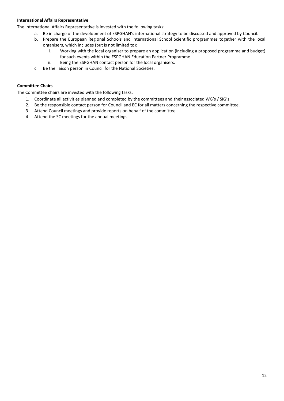# **International Affairs Representative**

The International Affairs Representative is invested with the following tasks:

- a. Be in charge of the development of ESPGHAN's international strategy to be discussed and approved by Council.
- b. Prepare the European Regional Schools and International School Scientific programmes together with the local organisers, which includes (but is not limited to):
	- i. Working with the local organiser to prepare an application (including a proposed programme and budget) for such events within the ESPGHAN Education Partner Programme.
	- ii. Being the ESPGHAN contact person for the local organisers.
- c. Be the liaison person in Council for the National Societies.

# **Committee Chairs**

The Committee chairs are invested with the following tasks:

- 1. Coordinate all activities planned and completed by the committees and their associated WG's / SIG's.
- 2. Be the responsible contact person for Council and EC for all matters concerning the respective committee.
- 3. Attend Council meetings and provide reports on behalf of the committee.
- 4. Attend the SC meetings for the annual meetings.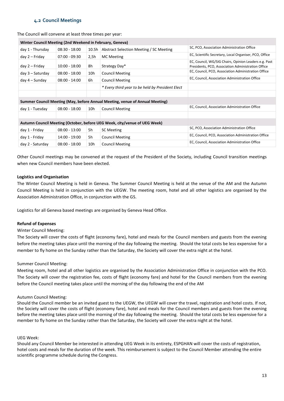# **4.2 Council Meetings**

#### <span id="page-12-0"></span>The Council will convene at least three times per year:

| Winter Council Meeting (2nd Weekend in February, Geneva)                  |                 |       |                                                                              |                                                                                                             |
|---------------------------------------------------------------------------|-----------------|-------|------------------------------------------------------------------------------|-------------------------------------------------------------------------------------------------------------|
| day 1 - Thursday                                                          | $08:30 - 18:00$ | 10.5h | Abstract Selection Meeting / SC Meeting                                      | SC, PCO, Association Administration Office                                                                  |
| day 2 – Friday                                                            | $07:00 - 09:30$ | 2,5h  | <b>MC</b> Meeting                                                            | EC, Scientific Secretary, Local Organiser, PCO, Office                                                      |
| day 2 – Friday                                                            | $10:00 - 18:00$ | 8h    | Strategy Day*                                                                | EC, Council, WG/SIG Chairs, Opinion Leaders e.g. Past<br>Presidents, PCO, Association Administration Office |
| $day 3 - Saturday$                                                        | $08:00 - 18:00$ | 10h   | <b>Council Meeting</b>                                                       | EC, Council, PCO, Association Administration Office                                                         |
| day 4 – Sunday                                                            | $08:00 - 14:00$ | 6h    | <b>Council Meeting</b>                                                       | EC, Council, Association Administration Office                                                              |
|                                                                           |                 |       | * Every third year to be held by President Elect                             |                                                                                                             |
|                                                                           |                 |       |                                                                              |                                                                                                             |
|                                                                           |                 |       | Summer Council Meeting (May, before Annual Meeting, venue of Annual Meeting) |                                                                                                             |
| $08:00 - 18:00$<br>10h<br><b>Council Meeting</b><br>day 1 - Tuesday       |                 |       |                                                                              | EC, Council, Association Administration Office                                                              |
|                                                                           |                 |       |                                                                              |                                                                                                             |
| Autumn Council Meeting (October, before UEG Week, city/venue of UEG Week) |                 |       |                                                                              |                                                                                                             |
| day 1 - Friday                                                            | $08:00 - 13:00$ | 5h    | <b>SC Meeting</b>                                                            | SC, PCO, Association Administration Office                                                                  |
| day 1 - Friday                                                            | 14:00 - 19:00   | 5h    | <b>Council Meeting</b>                                                       | EC, Council, PCO, Association Administration Office                                                         |
| day 2 - Saturday                                                          | $08:00 - 18:00$ | 10h   | <b>Council Meeting</b>                                                       | EC, Council, Association Administration Office                                                              |

Other Council meetings may be convened at the request of the President of the Society, including Council transition meetings when new Council members have been elected.

#### **Logistics and Organisation**

The Winter Council Meeting is held in Geneva. The Summer Council Meeting is held at the venue of the AM and the Autumn Council Meeting is held in conjunction with the UEGW. The meeting room, hotel and all other logistics are organised by the Association Administration Office, in conjunction with the GS.

Logistics for all Geneva based meetings are organised by Geneva Head Office.

#### **Refund of Expenses**

#### Winter Council Meeting:

The Society will cover the costs of flight (economy fare), hotel and meals for the Council members and guests from the evening before the meeting takes place until the morning of the day following the meeting. Should the total costs be less expensive for a member to fly home on the Sunday rather than the Saturday, the Society will cover the extra night at the hotel.

#### Summer Council Meeting:

Meeting room, hotel and all other logistics are organised by the Association Administration Office in conjunction with the PCO. The Society will cover the registration fee, costs of flight (economy fare) and hotel for the Council members from the evening before the Council meeting takes place until the morning of the day following the end of the AM

#### Autumn Council Meeting:

Should the Council member be an invited guest to the UEGW, the UEGW will cover the travel, registration and hotel costs. If not, the Society will cover the costs of flight (economy fare), hotel and meals for the Council members and guests from the evening before the meeting takes place until the morning of the day following the meeting. Should the total costs be less expensive for a member to fly home on the Sunday rather than the Saturday, the Society will cover the extra night at the hotel.

#### UEG Week:

Should any Council Member be interested in attending UEG Week in its entirety, ESPGHAN will cover the costs of registration, hotel costs and meals for the duration of the week. This reimbursement is subject to the Council Member attending the entire scientific programme schedule during the Congress.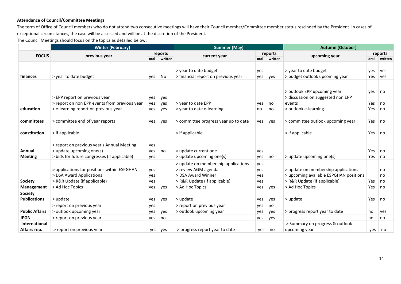# **Attendance of Council/Committee Meetings**

The term of Office of Council members who do not attend two consecutive meetings will have their Council member/Committee member status rescinded by the President. In cases of exceptional circumstances, the case will be assessed and will be at the discretion of the President.

The Council Meetings should focus on the topics as detailed below:

|                       | <b>Winter (February)</b>                      |     |              | <b>Summer (May)</b>                  |     |              | <b>Autumn (October)</b>                |      |         |  |
|-----------------------|-----------------------------------------------|-----|--------------|--------------------------------------|-----|--------------|----------------------------------------|------|---------|--|
| <b>FOCUS</b>          |                                               |     | reports      |                                      |     | reports      |                                        |      | reports |  |
|                       | previous year                                 |     | oral written | current year                         |     | oral written | upcoming year                          | oral | written |  |
|                       |                                               |     |              |                                      |     |              |                                        |      |         |  |
|                       |                                               |     |              | > year to date budget                | yes |              | > year to date budget                  | yes  | yes     |  |
| finances              | > year to date budget                         | yes | No           | > financial report on previous year  | yes | yes          | > budget outlook upcoming year         | Yes  | yes     |  |
|                       |                                               |     |              |                                      |     |              |                                        |      |         |  |
|                       |                                               |     |              |                                      |     |              |                                        |      |         |  |
|                       |                                               |     |              |                                      |     |              | > outlook EPP upcoming year            | yes  | no      |  |
|                       | > EPP report on previous year                 | yes | yes          |                                      |     |              | > discussion on suggested non EPP      |      |         |  |
|                       | > report on non EPP events from previous year | yes | yes          | > year to date EPP                   | yes | no           | events                                 | Yes  | no      |  |
| education             | > e-learning report on previous year          | yes | yes          | > year to date e-learning            | no  | no           | > outlook e-learning                   | Yes  | no      |  |
|                       |                                               |     |              |                                      |     |              |                                        |      |         |  |
| committees            | > committee end of year reports               | yes | yes          | > committee progress year up to date | yes | yes          | > committee outlook upcoming year      | Yes  | no      |  |
|                       |                                               |     |              |                                      |     |              |                                        |      |         |  |
| constitution          | > if applicable                               |     |              | > if applicable                      |     |              | > if applicable                        | Yes  | no      |  |
|                       |                                               |     |              |                                      |     |              |                                        |      |         |  |
|                       | > report on previous year's Annual Meeting    | yes |              |                                      |     |              |                                        |      |         |  |
| Annual                | > update upcoming one(s)                      | yes | no           | > update current one                 | yes |              |                                        | Yes  | no      |  |
| <b>Meeting</b>        | > bids for future congresses (if applicable)  | yes |              | > update upcoming one(s)             | yes | no           | > update upcoming one(s)               | Yes  | no      |  |
|                       |                                               |     |              | > update on membership applications  | yes |              |                                        |      |         |  |
|                       | > applications for positions within ESPGHAN   | yes |              | > review AGM agenda                  | yes |              | > update on membership applications    |      | no      |  |
|                       | > DSA Award Applications                      | yes |              | > DSA Award Winner                   | yes |              | > upcoming available ESPGHAN positions |      | no      |  |
| <b>Society</b>        | > R&R Update (if applicable)                  | yes |              | > R&R Update (if applicable)         | yes |              | > R&R Update (if applicable)           | Yes  | no      |  |
| Management            | > Ad Hoc Topics                               | yes | yes          | > Ad Hoc Topics                      | yes | yes          | > Ad Hoc Topics                        | Yes  | no      |  |
| <b>Society</b>        |                                               |     |              |                                      |     |              |                                        |      |         |  |
| <b>Publications</b>   | > update                                      | yes | yes          | > update                             | yes | yes          | > update                               | Yes  | no      |  |
|                       | > report on previous year                     | yes |              | > report on previous year            | yes | no           |                                        |      |         |  |
| <b>Public Affairs</b> | > outlook upcoming year                       | yes | yes          | > outlook upcoming year              | yes | yes          | > progress report year to date         | no   | yes     |  |
| <b>JPGN</b>           | > report on previous year                     | yes | no           |                                      | yes | yes          |                                        | no   | no      |  |
| International         |                                               |     |              |                                      |     |              | > Summary on progress & outlook        |      |         |  |
| Affairs rep.          | > report on previous year                     | yes | yes          | > progress report year to date       | yes | no           | upcoming year                          | yes  | no      |  |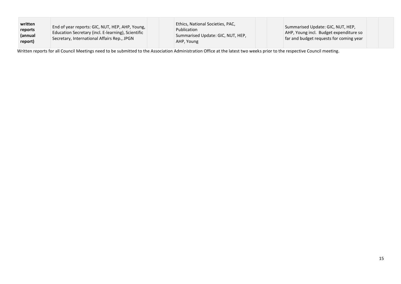| written<br>reports<br>(annual<br>report) | End of year reports: GIC, NUT, HEP, AHP, Young,<br>Education Secretary (incl. E-learning), Scientific<br>Secretary, International Affairs Rep., JPGN |  | Ethics, National Societies, PAC,<br>Publication<br>Summarised Update: GIC, NUT, HEP,<br>AHP, Young |  | Summarised Update: GIC, NUT, HEP,<br>AHP, Young incl. Budget expenditure so<br>far and budget requests for coming year |
|------------------------------------------|------------------------------------------------------------------------------------------------------------------------------------------------------|--|----------------------------------------------------------------------------------------------------|--|------------------------------------------------------------------------------------------------------------------------|
|------------------------------------------|------------------------------------------------------------------------------------------------------------------------------------------------------|--|----------------------------------------------------------------------------------------------------|--|------------------------------------------------------------------------------------------------------------------------|

Written reports for all Council Meetings need to be submitted to the Association Administration Office at the latest two weeks prior to the respective Council meeting.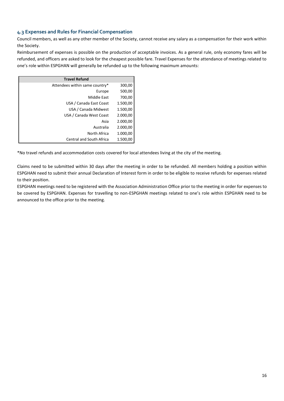# <span id="page-15-0"></span>**4.3 Expenses and Rules for Financial Compensation**

Council members, as well as any other member of the Society, cannot receive any salary as a compensation for their work within the Society.

Reimbursement of expenses is possible on the production of acceptable invoices. As a general rule, only economy fares will be refunded, and officers are asked to look for the cheapest possible fare. Travel Expenses for the attendance of meetings related to one's role within ESPGHAN will generally be refunded up to the following maximum amounts:

| <b>Travel Refund</b>            |          |
|---------------------------------|----------|
| Attendees within same country*  | 300,00   |
| Europe                          | 500,00   |
| Middle East                     | 700,00   |
| USA / Canada East Coast         | 1.500,00 |
| USA / Canada Midwest            | 1.500,00 |
| USA / Canada West Coast         | 2.000,00 |
| Asia                            | 2.000,00 |
| Australia                       | 2.000,00 |
| North Africa                    | 1.000,00 |
| <b>Central and South Africa</b> | 1.500,00 |

\*No travel refunds and accommodation costs covered for local attendees living at the city of the meeting.

Claims need to be submitted within 30 days after the meeting in order to be refunded. All members holding a position within ESPGHAN need to submit their annual Declaration of Interest form in order to be eligible to receive refunds for expenses related to their position.

ESPGHAN meetings need to be registered with the Association Administration Office prior to the meeting in order for expenses to be covered by ESPGHAN. Expenses for travelling to non-ESPGHAN meetings related to one's role within ESPGHAN need to be announced to the office prior to the meeting.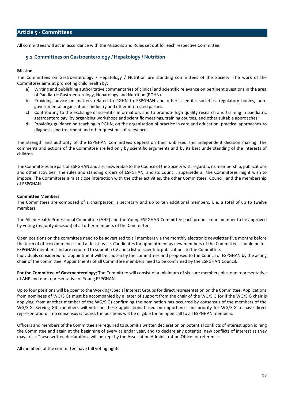# <span id="page-16-0"></span>**Article 5 - Committees**

<span id="page-16-1"></span>All committees will act in accordance with the Missions and Rules set out for each respective Committee.

# **5.1 Committees on Gastroenterology / Hepatology / Nutrition**

# **Mission**

The Committees on Gastroenterology / Hepatology / Nutrition are standing committees of the Society. The work of the Committees aims at promoting child health by:

- a) Writing and publishing authoritative commentaries of clinical and scientific relevance on pertinent questions in the area of Paediatric Gastroenterology, Hepatology and Nutrition (PGHN).
- b) Providing advice on matters related to PGHN to ESPGHAN and other scientific societies, regulatory bodies, nongovernmental organisations, industry and other interested parties.
- c) Contributing to the exchange of scientific information, and to promote high quality research and training in paediatric gastroenterology, by organising workshops and scientific meetings, training courses, and other suitable approaches;
- d) Providing guidance on teaching in PGHN, on the organisation of practice in care and education, practical approaches to diagnosis and treatment and other questions of relevance.

The strength and authority of the ESPGHAN Committees depend on their unbiased and independent decision making. The comments and actions of the Committee are led only by scientific arguments and by its best understanding of the interests of children.

The Committees are part of ESPGHAN and are answerable to the Council of the Society with regard to its membership, publications and other activities. The rules and standing orders of ESPGHAN, and its Council, supersede all the Committees might wish to impose. The Committees aim at close interaction with the other activities, the other Committees, Council, and the membership of ESPGHAN.

#### **Committee Members**

The Committees are composed of a chairperson, a secretary and up to ten additional members, i. e. a total of up to twelve members.

The Allied Health Professional Committee (AHP) and the Young ESPGHAN Committee each propose one member to be approved by voting (majority decision) of all other members of the Committee.

Open positions on the committee need to be advertised to all members via the monthly electronic newsletter five months before the term of office commences and at least twice. Candidates for appointment as new members of the Committees should be full ESPGHAN members and are required to submit a CV and a list of scientific publications to the Committee. Individuals considered for appointment will be chosen by the committees and proposed to the Council of ESPGHAN by the acting chair of the committee. Appointments of all Committee members need to be confirmed by the ESPGHAN Council.

**For the Committee of Gastroenterology**; The Committee will consist of a minimum of six core members plus one representative of AHP and one representative of Young ESPGHAN.

Up to four positions will be open to the Working/Special Interest Groups for direct representation on the Committee. Applications from nominees of WG/SIGs must be accompanied by a letter of support from the chair of the WG/SIG (or if the WG/SIG chair is applying, from another member of the WG/SIG) confirming the nomination has occurred by consensus of the members of the WG/SIG. Serving GIC members will vote on these applications based on importance and priority for WG/SIG to have direct representation. If no consensus is found, the positions will be eligible for an open call to all ESPGHAN members.

Officers and members of the Committee are required to submit a written declaration on potential conflicts of interest upon joining the Committee and again at the beginning of every calendar year, and to declare any potential new conflicts of interest as they may arise. These written declarations will be kept by the Association Administration Office for reference.

All members of the committee have full voting rights.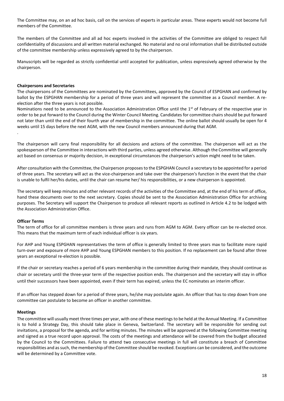The Committee may, on an ad hoc basis, call on the services of experts in particular areas. These experts would not become full members of the Committee.

The members of the Committee and all ad hoc experts involved in the activities of the Committee are obliged to respect full confidentiality of discussions and all written material exchanged. No material and no oral information shall be distributed outside of the committee membership unless expressively agreed to by the chairperson.

Manuscripts will be regarded as strictly confidential until accepted for publication, unless expressively agreed otherwise by the chairperson.

#### **Chairpersons and Secretaries**

The chairpersons of the Committees are nominated by the Committees, approved by the Council of ESPGHAN and confirmed by ballot by the ESPGHAN membership for a period of three years and will represent the committee as a Council member. A reelection after the three years is not possible.

Nominations need to be announced to the Association Administration Office until the  $1<sup>st</sup>$  of February of the respective year in order to be put forward to the Council during the Winter Council Meeting. Candidates for committee chairs should be put forward not later than until the end of their fourth year of membership in the committee. The online ballot should usually be open for 4 weeks until 15 days before the next AGM, with the new Council members announced during that AGM.

.

The chairperson will carry final responsibility for all decisions and actions of the committee. The chairperson will act as the spokesperson of the Committee in interactions with third parties, unless agreed otherwise. Although the Committee will generally act based on consensus or majority decision, in exceptional circumstances the chairperson's action might need to be taken.

After consultation with the Committee, the Chairperson proposes to the ESPGHAN Council a secretary to be appointed for a period of three years. The secretary will act as the vice-chairperson and take over the chairperson's function in the event that the chair is unable to fulfil her/his duties, until the chair can resume her/ his responsibilities, or a new chairperson is appointed.

The secretary will keep minutes and other relevant records of the activities of the Committee and, at the end of his term of office, hand these documents over to the next secretary. Copies should be sent to the Association Administration Office for archiving purposes. The Secretary will support the Chairperson to produce all relevant reports as outlined in Article 4.2 to be lodged with the Association Administration Office.

#### **Officer Terms**

The term of office for all committee members is three years and runs from AGM to AGM. Every officer can be re-elected once. This means that the maximum term of each individual officer is six years.

For AHP and Young ESPGHAN representatives the term of office is generally limited to three years max to facilitate more rapid turn-over and exposure of more AHP and Young ESPGHAN members to this position. If no replacement can be found after three years an exceptional re-election is possible.

If the chair or secretary reaches a period of 6 years membership in the committee during their mandate, they should continue as chair or secretary until the three-year term of the respective position ends. The chairperson and the secretary will stay in office until their successors have been appointed, even if their term has expired, unless the EC nominates an interim officer.

If an officer has stepped down for a period of three years, he/she may postulate again. An officer that has to step down from one committee can postulate to become an officer in another committee.

#### **Meetings**

The committee will usually meet three times per year, with one of these meetings to be held at the Annual Meeting. If a Committee is to hold a Strategy Day, this should take place in Geneva, Switzerland. The secretary will be responsible for sending out invitations, a proposal for the agenda, and for writing minutes. The minutes will be approved at the following Committee meeting and signed as a true record upon approval. The costs of the meetings and attendance will be covered from the budget allocated by the Council to the Committees. Failure to attend two consecutive meetings in full will constitute a breach of Committee responsibilities and as such, the membership of the Committee should be revoked. Exceptions can be considered, and the outcome will be determined by a Committee vote.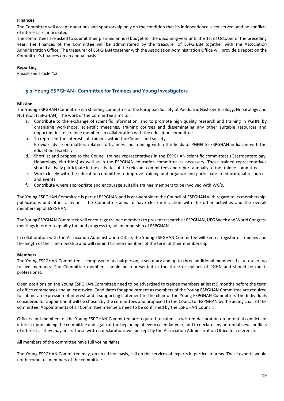# **Finances**

The Committee will accept donations and sponsorship only on the condition that its independence is conserved, and no conflicts of interest are anticipated.

The committees are asked to submit their planned annual budget for the upcoming year until the 1st of October of the preceding year. The finances of the Committee will be administered by the treasurer of ESPGHAN together with the Association Administration Office. The treasurer of ESPGHAN together with the Association Administration Office will provide a report on the Committee's finances on an annual basis.

# **Reporting**

Please see article 4.2

# <span id="page-18-0"></span>**5.2 Young ESPGHAN - Committee for Trainees and Young Investigators**

# **Mission**

The Young ESPGHAN Committee is a standing committee of the European Society of Paediatric Gastroenterology, Hepatology and Nutrition (ESPGHAN). The work of the Committee aims to:

- Contribute to the exchange of scientific information, and to promote high quality research and training in PGHN, by organising workshops, scientific meetings, training courses and disseminating any other suitable resources and opportunities for trainee members in collaboration with the education committee.
- b. To represent the interests of trainees within the Council and society.
- c. Provide advice on matters related to trainees and training within the fields of PGHN to ESPGHAN in liaison with the education secretary.
- d. Shortlist and propose to the Council trainee representatives in the ESPGHAN scientific committees (Gastroenterology, Hepatology, Nutrition) as well as in the ESPGHAN education committee as necessary. These trainee representatives should actively participate in the activities of the relevant committees and report annually to the trainee committee.
- e. Work closely with the education committee to improve training and organize and participate in educational resources and events.
- f. Contribute where appropriate and encourage suitable trainee members to be involved with WG's.

The Young ESPGHAN Committee is part of ESPGHAN and is answerable to the Council of ESPGHAN with regard to its membership, publications and other activities. The Committee aims to have close interaction with the other activities and the overall membership of ESPGHAN.

The Young ESPGHAN Committee will encourage trainee members to present research at ESPGHAN, UEG Week and World Congress meetings in order to qualify for, and progress to, full membership of ESPGHAN.

In collaboration with the Association Administration Office, the Young ESPGHAN Committee will keep a register of trainees and the length of their membership and will remind trainee members of the term of their membership.

#### **Members**

The Young ESPGHAN Committee is composed of a chairperson, a secretary and up to three additional members, i.e. a total of up to five members. The Committee members should be represented in the three disciplines of PGHN and should be multiprofessional.

Open positions on the Young ESPGHAN Committee need to be advertised to trainee members at least 5 months before the term of office commences and at least twice. Candidates for appointment as members of the Young ESPGHAN Committee are required to submit an expression of interest and a supporting statement to the chair of the Young ESPGHAN Committee. The Individuals considered for appointment will be chosen by the committees and proposed to the Council of ESPGHAN by the acting chair of the committee. Appointments of all Committee members need to be confirmed by the ESPGHAN Council.

Officers and members of the Young ESPGHAN Committee are required to submit a written declaration on potential conflicts of interest upon joining the committee and again at the beginning of every calendar year, and to declare any potential new conflicts of interest as they may arise. These written declarations will be kept by the Association Administration Office for reference.

All members of the committee have full voting rights.

The Young ESPGHAN Committee may, on an ad hoc basis, call on the services of experts in particular areas. These experts would not become full members of the committee.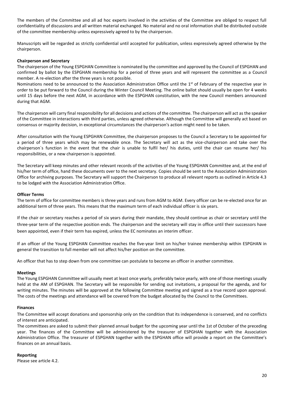The members of the Committee and all ad hoc experts involved in the activities of the Committee are obliged to respect full confidentiality of discussions and all written material exchanged. No material and no oral information shall be distributed outside of the committee membership unless expressively agreed to by the chairperson.

Manuscripts will be regarded as strictly confidential until accepted for publication, unless expressively agreed otherwise by the chairperson.

#### **Chairperson and Secretary**

The chairperson of the Young ESPGHAN Committee is nominated by the committee and approved by the Council of ESPGHAN and confirmed by ballot by the ESPGHAN membership for a period of three years and will represent the committee as a Council member. A re-election after the three years is not possible.

Nominations need to be announced to the Association Administration Office until the 1<sup>st</sup> of February of the respective year in order to be put forward to the Council during the Winter Council Meeting. The online ballot should usually be open for 4 weeks until 15 days before the next AGM, in accordance with the ESPGHAN constitution, with the new Council members announced during that AGM.

The chairperson will carry final responsibility for all decisions and actions of the committee. The chairperson will act as the speaker of the Committee in interactions with third parties, unless agreed otherwise. Although the Committee will generally act based on consensus or majority decision, in exceptional circumstances the chairperson's action might need to be taken.

After consultation with the Young ESPGHAN Committee, the chairperson proposes to the Council a Secretary to be appointed for a period of three years which may be renewable once. The Secretary will act as the vice-chairperson and take over the chairperson´s function in the event that the chair is unable to fulfil her/ his duties, until the chair can resume her/ his responsibilities, or a new chairperson is appointed.

The Secretary will keep minutes and other relevant records of the activities of the Young ESPGHAN Committee and, at the end of his/her term of office, hand these documents over to the next secretary. Copies should be sent to the Association Administration Office for archiving purposes. The Secretary will support the Chairperson to produce all relevant reports as outlined in Article 4.3 to be lodged with the Association Administration Office.

#### **Officer Terms**

The term of office for committee members is three years and runs from AGM to AGM. Every officer can be re-elected once for an additional term of three years. This means that the maximum term of each individual officer is six years.

If the chair or secretary reaches a period of six years during their mandate, they should continue as chair or secretary until the three-year term of the respective position ends. The chairperson and the secretary will stay in office until their successors have been appointed, even if their term has expired, unless the EC nominates an interim officer.

If an officer of the Young ESPGHAN Committee reaches the five-year limit on his/her trainee membership within ESPGHAN in general the transition to full member will not affect his/her position on the committee.

An officer that has to step down from one committee can postulate to become an officer in another committee.

#### **Meetings**

The Young ESPGHAN Committee will usually meet at least once yearly, preferably twice yearly, with one of those meetings usually held at the AM of ESPGHAN. The Secretary will be responsible for sending out invitations, a proposal for the agenda, and for writing minutes. The minutes will be approved at the following Committee meeting and signed as a true record upon approval. The costs of the meetings and attendance will be covered from the budget allocated by the Council to the Committees.

#### **Finances**

The Committee will accept donations and sponsorship only on the condition that its independence is conserved, and no conflicts of interest are anticipated.

The committees are asked to submit their planned annual budget for the upcoming year until the 1st of October of the preceding year. The finances of the Committee will be administered by the treasurer of ESPGHAN together with the Association Administration Office. The treasurer of ESPGHAN together with the ESPGHAN office will provide a report on the Committee's finances on an annual basis.

#### **Reporting**

Please see article 4.2.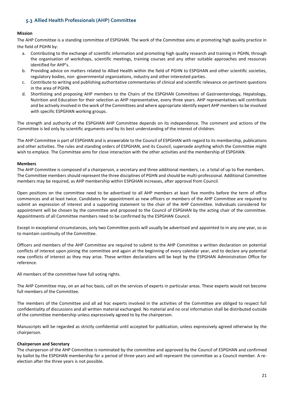# <span id="page-20-0"></span>**5.3 Allied Health Professionals (AHP) Committee**

# **Mission**

The AHP Committee is a standing committee of ESPGHAN. The work of the Committee aims at promoting high quality practice in the field of PGHN by:

- a. Contributing to the exchange of scientific information and promoting high quality research and training in PGHN, through the organisation of workshops, scientific meetings, training courses and any other suitable approaches and resources identified for AHP's.
- b. Providing advice on matters related to Allied Health within the field of PGHN to ESPGHAN and other scientific societies, regulatory bodies, non -governmental organizations, industry and other interested parties.
- c. Contribute to writing and publishing authoritative commentaries of clinical and scientific relevance on pertinent questions in the area of PGHN.
- d. Shortlisting and proposing AHP members to the Chairs of the ESPGHAN Committees of Gastroenterology, Hepatology, Nutrition and Education for their selection as AHP representative, every three years. AHP representatives will contribute and be actively involved in the work of the Committees and where appropriate identify expert AHP members to be involved with specific ESPGHAN working groups.

The strength and authority of the ESPGHAN AHP Committee depends on its independence. The comment and actions of the Committee is led only by scientific arguments and by its best understanding of the interest of children.

The AHP Committee is part of ESPGHAN and is answerable to the Council of ESPGHAN with regard to its membership, publications and other activities. The rules and standing orders of ESPGHAN, and its Council, supersede anything which the Committee might wish to emplace. The Committee aims for close interaction with the other activities and the membership of ESPGHAN.

#### **Members**

The AHP Committee is composed of a chairperson, a secretary and three additional members, i.e. a total of up to five members. The Committee members should represent the three disciplines of PGHN and should be multi-professional. Additional Committee members may be required, as AHP membership within ESPGHAN increases, after approval from Council.

Open positions on the committee need to be advertised to all AHP members at least five months before the term of office commences and at least twice. Candidates for appointment as new officers or members of the AHP Committee are required to submit an expression of interest and a supporting statement to the chair of the AHP Committee. Individuals considered for appointment will be chosen by the committee and proposed to the Council of ESPGHAN by the acting chair of the committee. Appointments of all Committee members need to be confirmed by the ESPGHAN Council.

Except in exceptional circumstances, only two Committee posts will usually be advertised and appointed to in any one year, so as to maintain continuity of the Committee.

Officers and members of the AHP Committee are required to submit to the AHP Committee a written declaration on potential conflicts of interest upon joining the committee and again at the beginning of every calendar year, and to declare any potential new conflicts of interest as they may arise. These written declarations will be kept by the ESPGHAN Administration Office for reference.

All members of the committee have full voting rights.

The AHP Committee may, on an ad hoc basis, call on the services of experts in particular areas. These experts would not become full members of the Committee.

The members of the Committee and all ad hoc experts involved in the activities of the Committee are obliged to respect full confidentiality of discussions and all written material exchanged. No material and no oral information shall be distributed outside of the committee membership unless expressively agreed to by the chairperson.

Manuscripts will be regarded as strictly confidential until accepted for publication, unless expressively agreed otherwise by the chairperson.

#### **Chairperson and Secretary**

The chairperson of the AHP Committee is nominated by the committee and approved by the Council of ESPGHAN and confirmed by ballot by the ESPGHAN membership for a period of three years and will represent the committee as a Council member. A reelection after the three years is not possible.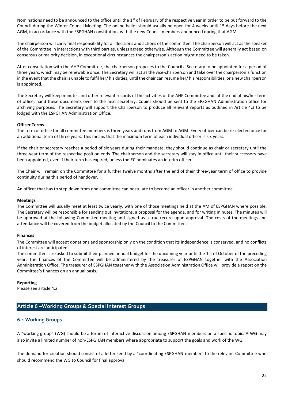Nominations need to be announced to the office until the  $1<sup>st</sup>$  of February of the respective year in order to be put forward to the Council during the Winter Council Meeting. The online ballot should usually be open for 4 weeks until 15 days before the next AGM, in accordance with the ESPGHAN constitution, with the new Council members announced during that AGM.

The chairperson will carry final responsibility for all decisions and actions of the committee. The chairperson will act as the speaker of the Committee in interactions with third parties, unless agreed otherwise. Although the Committee will generally act based on consensus or majority decision, in exceptional circumstances the chairperson's action might need to be taken.

After consultation with the AHP Committee, the chairperson proposes to the Council a Secretary to be appointed for a period of three years, which may be renewable once. The Secretary will act as the vice-chairperson and take over the chairperson´s function in the event that the chair is unable to fulfil her/ his duties, until the chair can resume her/ his responsibilities, or a new chairperson is appointed.

The Secretary will keep minutes and other relevant records of the activities of the AHP Committee and, at the end of his/her term of office, hand these documents over to the next secretary. Copies should be sent to the EPSGHAN Administration office for archiving purposes. The Secretary will support the Chairperson to produce all relevant reports as outlined in Article 4.3 to be lodged with the ESPGHAN Administration Office.

#### **Officer Terms**

The term of office for all committee members is three years and runs from AGM to AGM. Every officer can be re-elected once for an additional term of three years. This means that the maximum term of each individual officer is six years.

If the chair or secretary reaches a period of six years during their mandate, they should continue as chair or secretary until the three-year term of the respective position ends. The chairperson and the secretary will stay in office until their successors have been appointed, even if their term has expired, unless the EC nominates an interim officer.

The Chair will remain on the Committee for a further twelve months after the end of their three-year term of office to provide continuity during this period of handover.

An officer that has to step down from one committee can postulate to become an officer in another committee.

#### **Meetings**

The Committee will usually meet at least twice yearly, with one of those meetings held at the AM of ESPGHAN where possible. The Secretary will be responsible for sending out invitations, a proposal for the agenda, and for writing minutes. The minutes will be approved at the following Committee meeting and signed as a true record upon approval. The costs of the meetings and attendance will be covered from the budget allocated by the Council to the Committees.

#### **Finances**

The Committee will accept donations and sponsorship only on the condition that its independence is conserved, and no conflicts of interest are anticipated.

The committees are asked to submit their planned annual budget for the upcoming year until the 1st of October of the preceding year. The finances of the Committee will be administered by the treasurer of ESPGHAN together with the Association Administration Office. The treasurer of ESPGHAN together with the Association Administration Office will provide a report on the Committee's finances on an annual basis.

#### **Reporting**

<span id="page-21-0"></span>Please see article 4.2.

# **Article 6 –Working Groups & Special Interest Groups**

# <span id="page-21-1"></span>**6.1 Working Groups**

A "working group" (WG) should be a forum of interactive discussion among ESPGHAN-members on a specific topic. A WG may also invite a limited number of non-ESPGHAN members where appropriate to support the goals and work of the WG.

The demand for creation should consist of a letter send by a "coordinating ESPGHAN-member" to the relevant Committee who should recommend the WG to Council for final approval.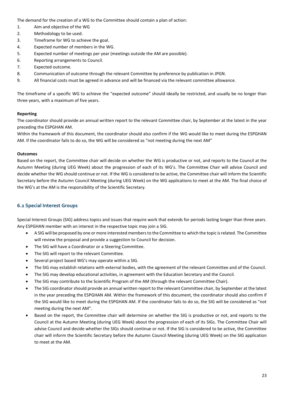The demand for the creation of a WG to the Committee should contain a plan of action:

- 1. Aim and objective of the WG
- 2. Methodology to be used.
- 3. Timeframe for WG to achieve the goal.
- 4. Expected number of members in the WG.
- 5. Expected number of meetings per year (meetings outside the AM are possible).
- 6. Reporting arrangements to Council.
- 7. Expected outcome.
- 8. Communication of outcome through the relevant Committee by preference by publication in JPGN.
- 9. All financial costs must be agreed in advance and will be financed via the relevant committee allowance.

The timeframe of a specific WG to achieve the "expected outcome" should ideally be restricted, and usually be no longer than three years, with a maximum of five years.

# **Reporting**

The coordinator should provide an annual written report to the relevant Committee chair, by September at the latest in the year preceding the ESPGHAN AM.

Within the framework of this document, the coordinator should also confirm if the WG would like to meet during the ESPGHAN AM. If the coordinator fails to do so, the WG will be considered as "not meeting during the next AM"

# **Outcomes**

Based on the report, the Committee chair will decide on whether the WG is productive or not, and reports to the Council at the Autumn Meeting (during UEG Week) about the progression of each of its WG's. The Committee Chair will advise Council and decide whether the WG should continue or not. If the WG is considered to be active, the Committee chair will inform the Scientific Secretary before the Autumn Council Meeting (during UEG Week) on the WG applications to meet at the AM. The final choice of the WG's at the AM is the responsibility of the Scientific Secretary.

# <span id="page-22-0"></span>**6.2 Special Interest Groups**

Special Interest Groups (SIG) address topics and issues that require work that extends for periods lasting longer than three years. Any ESPGHAN member with an interest in the respective topic may join a SIG.

- A SIG will be proposed by one or more interested members to the Committee to which the topic is related. The Committee will review the proposal and provide a suggestion to Council for decision.
- The SIG will have a Coordinator or a Steering Committee.
- The SIG will report to the relevant Committee.
- Several project based WG's may operate within a SIG.
- The SIG may establish relations with external bodies, with the agreement of the relevant Committee and of the Council.
- The SIG may develop educational activities, in agreement with the Education Secretary and the Council.
- The SIG may contribute to the Scientific Program of the AM (through the relevant Committee Chair).
- The SIG coordinator should provide an annual written report to the relevant Committee chair, by September at the latest in the year preceding the ESPGHAN AM. Within the framework of this document, the coordinator should also confirm if the SIG would like to meet during the ESPGHAN AM. If the coordinator fails to do so, the SIG will be considered as "not meeting during the next AM".
- Based on the report, the Committee chair will determine on whether the SIG is productive or not, and reports to the Council at the Autumn Meeting (during UEG Week) about the progression of each of its SIGs. The Committee Chair will advise Council and decide whether the SIGs should continue or not. If the SIG is considered to be active, the Committee chair will inform the Scientific Secretary before the Autumn Council Meeting (during UEG Week) on the SIG application to meet at the AM.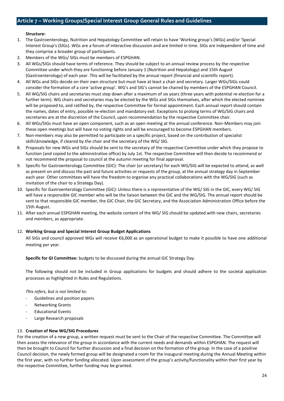# <span id="page-23-0"></span>**Structure:**

- 1. The Gastroenterology, Nutrition and Hepatology Committee will retain to have 'Working group's (WGs) and/or 'Special Interest Group's (SIGs). WGs are a forum of interactive discussion and are limited in time. SIGs are independent of time and they comprise a broader group of participants.
- 2. Members of the WGs/ SIGs must be members of ESPGHAN.
- 3. All WGs/SIGs should have terms of reference. They should be subject to an annual review process by the respective Committee under which they are functioning before January 1 (Nutrition and Hepatology) and 15th August (Gastroenterology) of each year. This will be facilitated by the annual report (financial and scientific report).
- 4. All WGs and SIGs decide on their own structure but must have at least a chair and secretary. Larger WGs/SIGs could consider the formation of a core 'active group'. WG's and SIG's cannot be chaired by members of the ESPGHAN Council.
- 5. All WG/SIG chairs and secretaries must step down after a maximum of six years (three years with potential re-election for a further term). WG chairs and secretaries may be elected by the WGs and SIGs themselves, after which the elected nominee will be proposed to, and ratified by, the respective Committee for formal appointment. Each annual report should contain the names, dates of entry, possible re-election and mandatory exit. Exceptions to prolong terms of WG/SIG chairs and secretaries are at the discretion of the Council, upon recommendation by the respective Committee chair.
- 6. All WGs/SIGs must have an open component, such as an open meeting at the annual conference. Non-Members may join these open meetings but will have no voting rights and will be encouraged to become ESPGHAN members.
- 7. Non-members may also be permitted to participate on a specific project, based on the contribution of specialist skills\knowledge, if cleared by the chair and the secretary of the WG/ SIG.
- 8. Proposals for new WGs and SIGs should be sent to the secretary of the respective Committee under which they propose to function (and copied to the administrative office) by July 1st. The respective Committee will then decide to recommend or not recommend the proposal to council at the autumn meeting for final approval.
- 9. Specific for Gastroenterology Committee (GIC): The chair (or secretary) for each WG/SIG will be expected to attend, as well as present on and discuss the past and future activities or requests of the group, at the annual strategy day in September each year. Other committees will have the freedom to organise any practical collaborations with the WG/SIG (such as invitation of the chair to a Strategy Day).
- 10. Specific for Gastroenterology Committee (GIC): Unless there is a representative of the WG/ SIG in the GIC, every WG/ SIG will have a responsible GIC member who will be the liaison between the GIC and the WG/SIG. The annual report should be sent to that responsible GIC member, the GIC Chair, the GIC Secretary, and the Association Administration Office before the 15th August.
- 11. After each annual ESPGHAN meeting, the website content of the WG/ SIG should be updated with new chairs, secretaries and members, as appropriate.

#### 12. **Working Group and Special Interest Group Budget Applications**

All SIGs and council approved WGs will receive €6,000 as an operational budget to make it possible to have one additional meeting per year.

**Specific for GI Committee:** budgets to be discussed during the annual GIC Strategy Day.

The following should not be included in Group applications for budgets and should adhere to the societal application processes as highlighted in Rules and Regulations.

#### *This refers, but is not limited to:*

- Guidelines and position papers
- Networking Grants
- Educational Events
- Large Research proposals

#### 13. **Creation of New WG/SIG Procedures**

For the creation of a new group, a written request must be sent to the Chair of the respective Committee. The Committee will then assess the relevance of the group in accordance with the current needs and demands within ESPGHAN. The request will then be brought to Council for further discussion and a final decision on the formation of the group. In the case of a positive Council decision, the newly formed group will be designated a room for the inaugural meeting during the Annual Meeting within the first year, with no further funding allocated. Upon assessment of the group's activity/functionality within their first year by the respective Committee, further funding may be granted.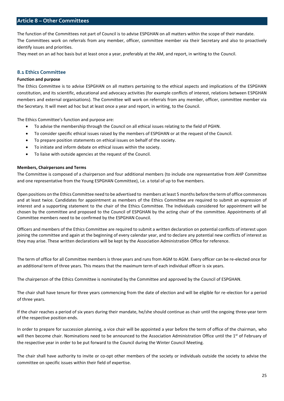# <span id="page-24-0"></span>**Article 8 – Other Committees**

The function of the Committees not part of Council is to advise ESPGHAN on all matters within the scope of their mandate. The Committees work on referrals from any member, officer, committee member via their Secretary and also to proactively identify issues and priorities.

They meet on an ad hoc basis but at least once a year, preferably at the AM, and report, in writing to the Council.

# <span id="page-24-1"></span>**8.1 Ethics Committee**

#### **Function and purpose**

The Ethics Committee is to advise ESPGHAN on all matters pertaining to the ethical aspects and implications of the ESPGHAN constitution, and its scientific, educational and advocacy activities (for example conflicts of interest, relations between ESPGHAN members and external organisations). The Committee will work on referrals from any member, officer, committee member via the Secretary. It will meet ad hoc but at least once a year and report, in writing, to the Council.

The Ethics Committee's function and purpose are:

- To advise the membership through the Council on all ethical issues relating to the field of PGHN.
- To consider specific ethical issues raised by the members of ESPGHAN or at the request of the Council.
- To prepare position statements on ethical issues on behalf of the society.
- To initiate and inform debate on ethical issues within the society.
- To liaise with outside agencies at the request of the Council.

#### **Members, Chairpersons and Terms**

The Committee is composed of a chairperson and four additional members (to include one representative from AHP Committee and one representative from the Young ESPGHAN Committee), i.e. a total of up to five members.

Open positions on the Ethics Committee need to be advertised to members at least 5 months before the term of office commences and at least twice. Candidates for appointment as members of the Ethics Committee are required to submit an expression of interest and a supporting statement to the chair of the Ethics Committee. The Individuals considered for appointment will be chosen by the committee and proposed to the Council of ESPGHAN by the acting chair of the committee. Appointments of all Committee members need to be confirmed by the ESPGHAN Council.

Officers and members of the Ethics Committee are required to submit a written declaration on potential conflicts of interest upon joining the committee and again at the beginning of every calendar year, and to declare any potential new conflicts of interest as they may arise. These written declarations will be kept by the Association Administration Office for reference.

The term of office for all Committee members is three years and runs from AGM to AGM. Every officer can be re-elected once for an additional term of three years. This means that the maximum term of each individual officer is six years.

The chairperson of the Ethics Committee is nominated by the Committee and approved by the Council of ESPGHAN.

The chair shall have tenure for three years commencing from the date of election and will be eligible for re-election for a period of three years.

If the chair reaches a period of six years during their mandate, he/she should continue as chair until the ongoing three-year term of the respective position ends.

In order to prepare for succession planning, a vice chair will be appointed a year before the term of office of the chairman, who will then become chair. Nominations need to be announced to the Association Administration Office until the 1<sup>st</sup> of February of the respective year in order to be put forward to the Council during the Winter Council Meeting.

The chair shall have authority to invite or co-opt other members of the society or individuals outside the society to advise the committee on specific issues within their field of expertise.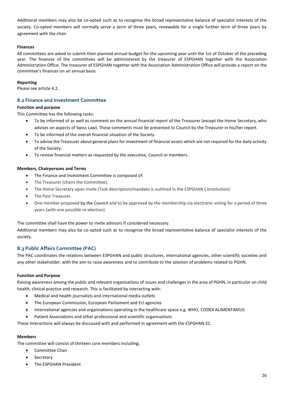Additional members may also be co-opted such as to recognise the broad representative balance of specialist interests of the society. Co-opted members will normally serve a term of three years, renewable for a single further term of three years by agreement with the chair.

# **Finances**

All committees are asked to submit their planned annual budget for the upcoming year until the 1st of October of the preceding year. The finances of the committees will be administered by the treasurer of ESPGHAN together with the Association Administration Office. The treasurer of ESPGHAN together with the Association Administration Office will provide a report on the committee's finances on an annual basis.

#### **Reporting**

Please see article 4.2.

# <span id="page-25-0"></span>**8.2 Finance and Investment Committee**

# **Function and purpose**

This Committee has the following tasks:

- To be informed of as well as comment on the annual financial report of the Treasurer (except the Home Secretary, who advises on aspects of Swiss Law). These comments must be presented to Council by the Treasurer in his/her report.
- To be informed of the overall financial situation of the Society.
- To advise the Treasurer about general plans for investment of financial assets which are not required for the daily activity of the Society.
- To review financial matters as requested by the executive, Council or members.

#### **Members, Chairpersons and Terms**

- The Finance and Investment Committee is composed of:
- The Treasurer (chairs the Committee).
- The Home Secretary upon invite (Task description/mandate is outlined in the ESPGHAN Constitution)
- The Past Treasurer.
- One member proposed by the Council and to be approved by the membership via electronic voting for a period of three years (with one possible re-election).

The committee shall have the power to invite advisors if considered necessary.

Additional members may also be co-opted such as to recognise the broad representative balance of specialist interests of the society.

# <span id="page-25-1"></span>**8.3 Public Affairs Committee (PAC)**

The PAC coordinates the relations between ESPGHAN and public structures, international agencies, other scientific societies and any other stakeholder, with the aim to raise awareness and to contribute to the solution of problems related to PGHN.

#### **Function and Purpose**

Raising awareness among the public and relevant organisations of issues and challenges in the area of PGHN, in particular on child health, clinical practice and research. This is facilitated by interacting with:

- Medical and health journalists and international media outlets
- The European Commission, European Parliament and EU agencies
- International agencies and organisations operating in the healthcare space e.g. WHO, CODEX ALIMENTARIUS
- Patient Associations and other professional and scientific organisations

These interactions will always be discussed with and performed in agreement with the ESPGHAN EC.

#### **Members**

The committee will consist of thirteen core members including;

- Committee Chair
- **Secretary**
- The ESPGHAN President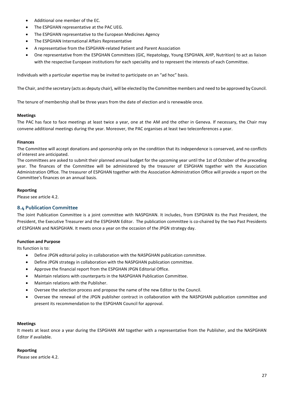- Additional one member of the EC.
- The ESPGHAN representative at the PAC UEG.
- The ESPGHAN representative to the European Medicines Agency
- The ESPGHAN International Affairs Representative
- A representative from the ESPGHAN-related Patient and Parent Association
- One representative from the ESPGHAN Committees (GIC, Hepatology, Young ESPGHAN, AHP, Nutrition) to act as liaison with the respective European institutions for each speciality and to represent the interests of each Committee.

Individuals with a particular expertise may be invited to participate on an "ad hoc" basis.

The Chair, and the secretary (acts as deputy chair), will be elected by the Committee members and need to be approved by Council.

The tenure of membership shall be three years from the date of election and is renewable once.

# **Meetings**

The PAC has face to face meetings at least twice a year, one at the AM and the other in Geneva. If necessary, the Chair may convene additional meetings during the year. Moreover, the PAC organises at least two teleconferences a year.

# **Finances**

The Committee will accept donations and sponsorship only on the condition that its independence is conserved, and no conflicts of interest are anticipated.

The committees are asked to submit their planned annual budget for the upcoming year until the 1st of October of the preceding year. The finances of the Committee will be administered by the treasurer of ESPGHAN together with the Association Administration Office. The treasurer of ESPGHAN together with the Association Administration Office will provide a report on the Committee's finances on an annual basis.

# **Reporting**

<span id="page-26-0"></span>Please see article 4.2.

# **8.4 Publication Committee**

The Joint Publication Committee is a joint committee with NASPGHAN. It includes, from ESPGHAN its the Past President, the President, the Executive Treasurer and the ESPGHAN Editor. The publication committee is co-chaired by the two Past Presidents of ESPGHAN and NASPGHAN. It meets once a year on the occasion of the JPGN strategy day.

# **Function and Purpose**

Its function is to:

- Define JPGN editorial policy in collaboration with the NASPGHAN publication committee.
- Define JPGN strategy in collaboration with the NASPGHAN publication committee.
- Approve the financial report from the ESPGHAN JPGN Editorial Office.
- Maintain relations with counterparts in the NASPGHAN Publication Committee.
- Maintain relations with the Publisher.
- Oversee the selection process and propose the name of the new Editor to the Council.
- Oversee the renewal of the JPGN publisher contract in collaboration with the NASPGHAN publication committee and present its recommendation to the ESPGHAN Council for approval.

#### **Meetings**

It meets at least once a year during the ESPGHAN AM together with a representative from the Publisher, and the NASPGHAN Editor if available.

#### **Reporting**

Please see article 4.2.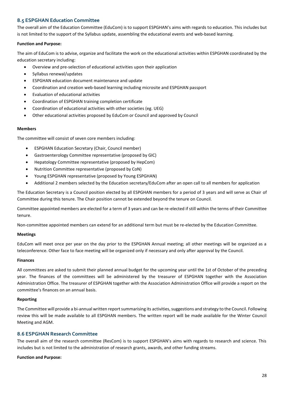# <span id="page-27-0"></span>**8.5 ESPGHAN Education Committee**

The overall aim of the Education Committee (EduCom) is to support ESPGHAN's aims with regards to education. This includes but is not limited to the support of the Syllabus update, assembling the educational events and web-based learning.

#### **Function and Purpose:**

The aim of EduCom is to advise, organize and facilitate the work on the educational activities within ESPGHAN coordinated by the education secretary including:

- Overview and pre-selection of educational activities upon their application
- Syllabus renewal/updates
- ESPGHAN education document maintenance and update
- Coordination and creation web-based learning including microsite and ESPGHAN passport
- Evaluation of educational activities
- Coordination of ESPGHAN training completion certificate
- Coordination of educational activities with other societies (eg. UEG)
- Other educational activities proposed by EduCom or Council and approved by Council

#### **Members**

The committee will consist of seven core members including:

- ESPGHAN Education Secretary (Chair, Council member)
- Gastroenterology Committee representative (proposed by GIC)
- Hepatology Committee representative (proposed by HepCom)
- Nutrition Committee representative (proposed by CoN)
- Young ESPGHAN representative (proposed by Young ESPGHAN)
- Additional 2 members selected by the Education secretary/EduCom after an open call to all members for application

The Education Secretary is a Council position elected by all ESPGHAN members for a period of 3 years and will serve as Chair of Committee during this tenure. The Chair position cannot be extended beyond the tenure on Council.

Committee appointed members are elected for a term of 3 years and can be re-elected if still within the terms of their Committee tenure.

Non-committee appointed members can extend for an additional term but must be re-elected by the Education Committee.

#### **Meetings**

EduCom will meet once per year on the day prior to the ESPGHAN Annual meeting; all other meetings will be organized as a teleconference. Other face to face meeting will be organized only if necessary and only after approval by the Council.

#### **Finances**

All committees are asked to submit their planned annual budget for the upcoming year until the 1st of October of the preceding year. The finances of the committees will be administered by the treasurer of ESPGHAN together with the Association Administration Office. The treasurer of ESPGHAN together with the Association Administration Office will provide a report on the committee's finances on an annual basis.

#### **Reporting**

The Committee will provide a bi-annual written report summarising its activities, suggestions and strategy to the Council. Following review this will be made available to all ESPGHAN members. The written report will be made available for the Winter Council Meeting and AGM.

# <span id="page-27-1"></span>**8.6 ESPGHAN Research Committee**

The overall aim of the research committee (ResCom) is to support ESPGHAN's aims with regards to research and science. This includes but is not limited to the administration of research grants, awards, and other funding streams.

#### **Function and Purpose:**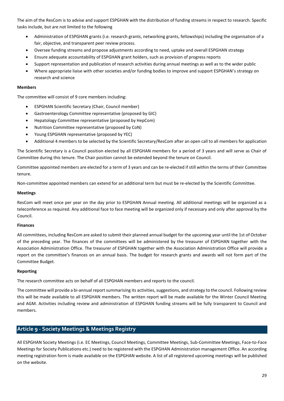The aim of the ResCom is to advise and support ESPGHAN with the distribution of funding streams in respect to research. Specific tasks include, but are not limited to the following

- Administration of ESPGHAN grants (i.e. research grants, networking grants, fellowships) including the organisation of a fair, objective, and transparent peer review process.
- Oversee funding streams and propose adjustments according to need, uptake and overall ESPGHAN strategy
- Ensure adequate accountability of ESPGHAN grant holders, such as provision of progress reports
- Support representation and publication of research activities during annual meetings as well as to the wider public
- Where appropriate liaise with other societies and/or funding bodies to improve and support ESPGHAN's strategy on research and science

#### **Members**

The committee will consist of 9 core members including:

- ESPGHAN Scientific Secretary (Chair, Council member)
- Gastroenterology Committee representative (proposed by GIC)
- Hepatology Committee representative (proposed by HepCom)
- Nutrition Committee representative (proposed by CoN)
- Young ESPGHAN representative (proposed by YEC)
- Additional 4 members to be selected by the Scientific Secretary/ResCom after an open call to all members for application

The Scientific Secretary is a Council position elected by all ESPGHAN members for a period of 3 years and will serve as Chair of Committee during this tenure. The Chair position cannot be extended beyond the tenure on Council.

Committee appointed members are elected for a term of 3 years and can be re-elected if still within the terms of their Committee tenure.

Non-committee appointed members can extend for an additional term but must be re-elected by the Scientific Committee.

#### **Meetings**

ResCom will meet once per year on the day prior to ESPGHAN Annual meeting. All additional meetings will be organized as a teleconference as required. Any additional face to face meeting will be organized only if necessary and only after approval by the Council.

#### **Finances**

All committees, including ResCom are asked to submit their planned annual budget for the upcoming year until the 1st of October of the preceding year. The finances of the committees will be administered by the treasurer of ESPGHAN together with the Association Administration Office. The treasurer of ESPGHAN together with the Association Administration Office will provide a report on the committee's finances on an annual basis. The budget for research grants and awards will not form part of the Committee Budget.

#### **Reporting**

The research committee acts on behalf of all ESPGHAN members and reports to the council.

The committee will provide a bi-annual report summarising its activities, suggestions, and strategy to the council. Following review this will be made available to all ESPGHAN members. The written report will be made available for the Winter Council Meeting and AGM. Activities including review and administration of ESPGHAN funding streams will be fully transparent to Council and members.

# <span id="page-28-0"></span>**Article 9 - Society Meetings & Meetings Registry**

All ESPGHAN Society Meetings (i.e. EC Meetings, Council Meetings, Committee Meetings, Sub-Committee Meetings, Face-to-Face Meetings for Society Publications etc.) need to be registered with the ESPGHAN Administration management Office. An according meeting registration form is made available on the ESPGHAN website. A list of all registered upcoming meetings will be published on the website.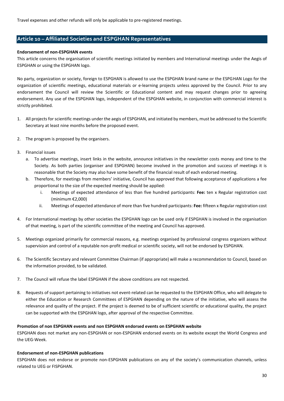<span id="page-29-0"></span>Travel expenses and other refunds will only be applicable to pre-registered meetings.

# **Article 10 – Affiliated Societies and ESPGHAN Representatives**

#### **Endorsement of non-ESPGHAN events**

This article concerns the organisation of scientific meetings initiated by members and International meetings under the Aegis of ESPGHAN or using the ESPGHAN logo.

No party, organization or society, foreign to ESPGHAN is allowed to use the ESPGHAN brand name or the ESPGHAN Logo for the organization of scientific meetings, educational materials or e-learning projects unless approved by the Council. Prior to any endorsement the Council will review the Scientific or Educational content and may request changes prior to agreeing endorsement. Any use of the ESPGHAN logo, independent of the ESPGHAN website, in conjunction with commercial interest is strictly prohibited.

- 1. All projects for scientific meetings under the aegis of ESPGHAN, and initiated by members, must be addressed to the Scientific Secretary at least nine months before the proposed event.
- 2. The program is proposed by the organisers.
- 3. Financial issues
	- a. To advertise meetings, insert links in the website, announce initiatives in the newsletter costs money and time to the Society. As both parties (organiser and ESPGHAN) become involved in the promotion and success of meetings it is reasonable that the Society may also have some benefit of the financial result of each endorsed meeting.
	- b. Therefore, for meetings from members' initiative, Council has approved that following acceptance of applications a fee proportional to the size of the expected meeting should be applied:
		- i. Meetings of expected attendance of less than five hundred participants: **Fee:** ten x Regular registration cost (minimum €2,000)
		- ii. Meetings of expected attendance of more than five hundred participants: **Fee:** fifteen x Regular registration cost
- 4. For International meetings by other societies the ESPGHAN logo can be used only if ESPGHAN is involved in the organisation of that meeting, is part of the scientific committee of the meeting and Council has approved.
- 5. Meetings organized primarily for commercial reasons, e.g. meetings organised by professional congress organizers without supervision and control of a reputable non-profit medical or scientific society, will not be endorsed by ESPGHAN.
- 6. The Scientific Secretary and relevant Committee Chairman (if appropriate) will make a recommendation to Council, based on the information provided, to be validated.
- 7. The Council will refuse the label ESPGHAN if the above conditions are not respected.
- 8. Requests of support pertaining to initiatives not event-related can be requested to the ESPGHAN Office, who will delegate to either the Education or Research Committees of ESPGHAN depending on the nature of the initiative, who will assess the relevance and quality of the project. If the project is deemed to be of sufficient scientific or educational quality, the project can be supported with the ESPGHAN logo, after approval of the respective Committee.

# **Promotion of non ESPGHAN events and non ESPGHAN endorsed events on ESPGHAN website**

ESPGHAN does not market any non-ESPGHAN or non-ESPGHAN endorsed events on its website except the World Congress and the UEG-Week.

#### **Endorsement of non-ESPGHAN publications**

ESPGHAN does not endorse or promote non-ESPGHAN publications on any of the society's communication channels, unless related to UEG or FISPGHAN.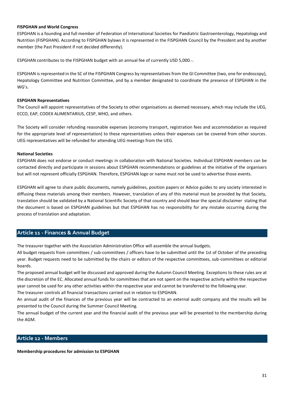#### **FISPGHAN and World Congress**

ESPGHAN is a founding and full member of Federation of International Societies for Paediatric Gastroenterology, Hepatology and Nutrition (FISPGHAN). According to FISPGHAN bylaws it is represented in the FISPGHAN Council by the President and by another member (the Past President if not decided differently).

ESPGHAN contributes to the FISPGHAN budget with an annual fee of currently USD 5,000.-.

ESPGHAN is represented in the SC of the FISPGHAN Congress by representatives from the GI Committee (two, one for endoscopy), Hepatology Committee and Nutrition Committee, and by a member designated to coordinate the presence of ESPGHAN in the WG's.

# **ESPGHAN Representatives**

The Council will appoint representatives of the Society to other organisations as deemed necessary, which may include the UEG, ECCO, EAP, CODEX ALIMENTARIUS, CESP, WHO, and others.

The Society will consider refunding reasonable expenses (economy transport, registration fees and accommodation as required for the appropriate level of representation) to these representatives unless their expenses can be covered from other sources. UEG representatives will be refunded for attending UEG meetings from the UEG.

# **National Societies**

ESPGHAN does not endorse or conduct meetings in collaboration with National Societies. Individual ESPGHAN members can be contacted directly and participate in sessions about ESPGHAN recommendations or guidelines at the initiative of the organisers but will not represent officially ESPGHAN. Therefore, ESPGHAN logo or name must not be used to advertise those events.

ESPGHAN will agree to share public documents, namely guidelines, position papers or Advice guides to any society interested in diffusing these materials among their members. However, translation of any of this material must be provided by that Society, translation should be validated by a National Scientific Society of that country and should bear the special disclaimer stating that the document is based on ESPGHAN guidelines but that ESPGHAN has no responsibility for any mistake occurring during the process of translation and adaptation.

# <span id="page-30-0"></span>**Article 11 - Finances & Annual Budget**

The treasurer together with the Association Administration Office will assemble the annual budgets.

All budget requests from committees / sub-committees / officers have to be submitted until the 1st of October of the preceding year. Budget requests need to be submitted by the chairs or editors of the respective committees, sub-committees or editorial boards.

The proposed annual budget will be discussed and approved during the Autumn Council Meeting. Exceptions to these rules are at the discretion of the EC. Allocated annual funds for committees that are not spent on the respective activity within the respective year cannot be used for any other activities within the respective year and cannot be transferred to the following year. The treasurer controls all financial transactions carried out in relation to ESPGHAN.

An annual audit of the finances of the previous year will be contracted to an external audit company and the results will be presented to the Council during the Summer Council Meeting.

The annual budget of the current year and the financial audit of the previous year will be presented to the membership during the AGM.

# <span id="page-30-1"></span>**Article 12 - Members**

**Membership procedures for admission to ESPGHAN**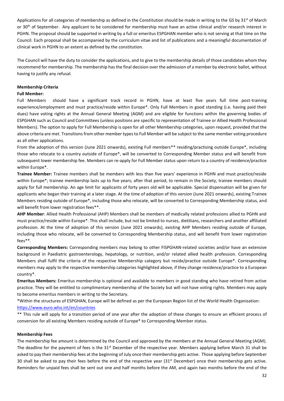Applications for all categories of membership as defined in the Constitution should be made in writing to the GS by  $31<sup>st</sup>$  of March or 30<sup>th</sup> of September. Any applicant to be considered for membership must have an active clinical and/or research interest in PGHN. The proposal should be supported in writing by a full or emeritus ESPGHAN member who is not serving at that time on the Council. Each proposal shall be accompanied by the curriculum vitae and list of publications and a meaningful documentation of clinical work in PGHN to an extent as defined by the constitution.

The Council will have the duty to consider the applications, and to give to the membership details of those candidates whom they recommend for membership. The membership has the final decision over the admission of a member by electronic ballot, without having to justify any refusal.

#### **Membership Criteria**

#### **Full Member:**

Full Members should have a significant track record in PGHN, have at least five years full time post-training experience/employment and must practice/reside within Europe\*. Only Full Members in good standing (i.e. having paid their dues) have voting rights at the Annual General Meeting (AGM) and are eligible for functions within the governing bodies of ESPGHAN such as Council and Committees (unless positions are specific to representation of Trainee or Allied Health Professional Members). The option to apply for Full Membership is open for all other Membership categories, upon request, provided that the above criteria are met. Transitions from other member types to Full Member will be subject to the same member voting procedure as all other applications.

From the adoption of this version (June 2021 onwards), existing Full members\*\* residing/practising outside Europe\*, including those who relocate to a country outside of Europe\*, will be converted to Corresponding Member status and will benefit from subsequent lower membership fee. Members can re-apply for Full Member status upon return to a country of residence/practice within Europe\*.

**Trainee Member:** Trainee members shall be members with less than five years' experience in PGHN and must practice/reside within Europe\*; trainee membership lasts up to five years; after that period, to remain in the Society, trainee members should apply for full membership. An age limit for applicants of forty years old will be applicable. Special dispensation will be given for applicants who began their training at a later stage. At the time of adoption of this version (June 2021 onwards), existing Trainee Members residing outside of Europe\*, including those who relocate, will be converted to Corresponding Membership status, and will benefit from lower registration fees\*\*.

**AHP Member**: Allied Health Professional (AHP) Members shall be members of medically related professions allied to PGHN and must practice/reside within Europe\*. This shall include, but not be limited to nurses, dietitians, researchers and another affiliated profession. At the time of adoption of this version (June 2021 onwards), existing AHP Members residing outside of Europe, including those who relocate, will be converted to Corresponding Membership status, and will benefit from lower registration fees\*\*.

**Corresponding Members:** Corresponding members may belong to other FISPGHAN-related societies and/or have an extensive background in Paediatric gastroenterology, hepatology, or nutrition, and/or related allied health profession. Corresponding Members shall fulfil the criteria of the respective Membership category but reside/practice outside Europe\*. Corresponding members may apply to the respective membership categories highlighted above, if they change residence/practice to a European country\*.

**Emeritus Members:** Emeritus membership is optional and available to members in good standing who have retired from active practice. They will be entitled to complimentary membership of the Society but will not have voting rights. Members may apply to become emeritus members in writing to the Secretary.

\*Within the structures of ESPGHAN, Europe will be defined as per the European Region list of the World Health Organisation: <https://www.euro.who.int/en/countries>

\*\* This rule will apply for a transition period of one year after the adoption of these changes to ensure an efficient process of conversion for all existing Members residing outside of Europe\* to Corresponding Member status.

#### **Membership Fees**

The membership fee amount is determined by the Council and approved by the members at the Annual General Meeting (AGM). The deadline for the payment of fees is the  $31<sup>st</sup>$  December of the respective year. Members applying before March 31 shall be asked to pay their membership fees at the beginning of July once their membership gets active. Those applying before September 30 shall be asked to pay their fees before the end of the respective year ( $31<sup>st</sup>$  December) once their membership gets active. Reminders for unpaid fees shall be sent out one and half months before the AM, and again two months before the end of the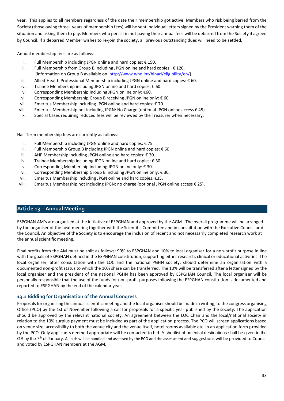year. This applies to all members regardless of the date their membership got active. Members who risk being barred from the Society (those owing three+ years of membership fees) will be sent individual letters signed by the President warning them of the situation and asking them to pay. Members who persist in not paying their annual fees will be debarred from the Society if agreed by Council. If a debarred Member wishes to re-join the society, all previous outstanding dues will need to be settled.

Annual membership fees are as follows:

- i. Full Membership including JPGN online and hard copies: €150.
- ii. Full Membership from Group B including JPGN online and hard copies: € 120. (information on Group B available on [http://www.who.int/hinari/eligibility/en/\)](http://www.who.int/hinari/eligibility/en/).
- iii. Allied-Health Professional Membership including JPGN online and hard copies: € 60.
- iv. Trainee Membership including JPGN online and hard copies: € 60.
- v. Corresponding Membership including JPGN online only: €60.
- vi. Corresponding Membership Group B receiving JPGN online only: € 60.
- vii. Emeritus Membership including JPGN online and hard copies: € 70.
- viii. Emeritus Membership not including JPGN: No Charge (optional JPGN online access € 45).
- ix. Special Cases requiring reduced fees will be reviewed by the Treasurer when necessary.

Half Term membership fees are currently as follows:

- i. Full Membership including JPGN online and hard copies: € 75.
- ii. Full Membership Group B including JPGN online and hard copies: € 60.
- iii. AHP Membership including JPGN online and hard copies: € 30.
- iv. Trainee Membership including JPGN online and hard copies: € 30.
- v. Corresponding Membership including JPGN online only: € 30.
- vi. Corresponding Membership Group B including JPGN online only: € 30.
- vii. Emeritus Membership including JPGN online and hard copies: €35.
- viii. Emeritus Membership not including JPGN: no charge (optional JPGN online access € 25).

# <span id="page-32-0"></span>**Article 13 – Annual Meeting**

ESPGHAN AM's are organised at the initiative of ESPGHAN and approved by the AGM. The overall programme will be arranged by the organiser of the next meeting together with the Scientific Committee and in consultation with the Executive Council and the Council. An objective of the Society is to encourage the inclusion of recent and not necessarily completed research work at the annual scientific meeting.

Final profits from the AM must be split as follows: 90% to ESPGHAN and 10% to local organiser for a non-profit purpose in line with the goals of ESPGHAN defined in the ESPGHAN constitution, supporting either research, clinical or educational activities. The local organiser, after consultation with the LOC and the national PGHN society, should determine an organisation with a documented non-profit status to which the 10% share can be transferred. The 10% will be transferred after a letter signed by the local organiser and the president of the national PGHN has been approved by ESPGHAN Council. The local organiser will be personally responsible that the use of the funds for non-profit purposes following the ESPGHAN constitution is documented and reported to ESPGHAN by the end of the calendar year.

# <span id="page-32-1"></span>**13.1 Bidding for Organisation of the Annual Congress**

Proposals for organising the annual scientific meeting and the local organiser should be made in writing, to the congress organising Office (PCO) by the 1st of November following a call for proposals for a specific year published by the society. The application should be approved by the relevant national society. An agreement between the LOC Chair and the local/national society in relation to the 10% surplus payment must be included as part of the application process. The PCO will screen applications based on venue size, accessibility to both the venue city and the venue itself, hotel rooms available etc. in an application form provided by the PCO. Only applicants deemed appropriate will be contacted to bid. A shortlist of potential destinations shall be given to the GS by the 7<sup>th</sup> of January. All bids will be handled and assessed by the PCO and the assessment and suggestions will be provided to Council and voted by ESPGHAN members at the AGM.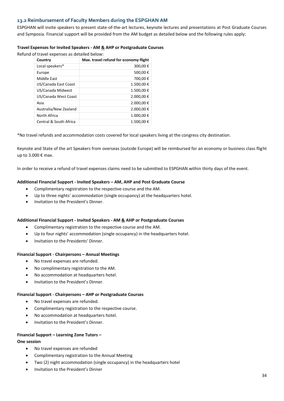# <span id="page-33-0"></span>**13.2 Reimbursement of Faculty Members during the ESPGHAN AM**

ESPGHAN will invite speakers to present state-of-the-art lectures, keynote lectures and presentations at Post Graduate Courses and Symposia. Financial support will be provided from the AM budget as detailed below and the following rules apply:

# **Travel Expenses for Invited Speakers - AM & AHP or Postgraduate Courses**

Refund of travel expenses as detailed below:

| Country                | Max. travel refund for economy flight |
|------------------------|---------------------------------------|
| Local speakers*        | 300,00€                               |
| Europe                 | 500,00€                               |
| Middle East            | 700,00€                               |
| US/Canada East Coast   | 1.500,00€                             |
| US/Canada Midwest      | 1.500,00€                             |
| US/Canada West Coast   | 2.000,00€                             |
| Asia                   | 2.000,00€                             |
| Australia/New Zealand  | 2.000,00€                             |
| North Africa           | 1.000,00€                             |
| Central & South Africa | 1.500,00€                             |

\*No travel refunds and accommodation costs covered for local speakers living at the congress city destination.

Keynote and State of the art Speakers from overseas (outside Europe) will be reimbursed for an economy or business class flight up to 3.000 € max.

In order to receive a refund of travel expenses claims need to be submitted to ESPGHAN within thirty days of the event.

# **Additional Financial Support - Invited Speakers – AM, AHP and Post Graduate Course**

- Complimentary registration to the respective course and the AM.
- Up to three nights' accommodation (single occupancy) at the headquarters hotel.
- Invitation to the President's Dinner.

#### **Additional Financial Support - Invited Speakers - AM & AHP or Postgraduate Courses**

- Complimentary registration to the respective course and the AM.
- Up to four nights' accommodation (single occupancy) in the headquarters hotel.
- Invitation to the Presidents' Dinner.

#### **Financial Support - Chairpersons – Annual Meetings**

- No travel expenses are refunded.
- No complimentary registration to the AM.
- No accommodation at headquarters hotel.
- Invitation to the President's Dinner.

#### **Financial Support - Chairpersons – AHP or Postgraduate Courses**

- No travel expenses are refunded.
- Complimentary registration to the respective course.
- No accommodation at headquarters hotel.
- Invitation to the President's Dinner.

#### **Financial Support – Learning Zone Tutors –**

# **One session**

- No travel expenses are refunded
- Complimentary registration to the Annual Meeting
- Two (2) night accommodation (single occupancy) in the headquarters hotel
- Invitation to the President's Dinner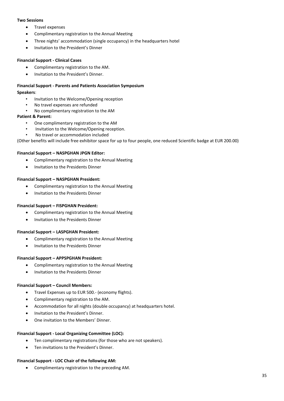#### **Two Sessions**

- Travel expenses
- Complimentary registration to the Annual Meeting
- Three nights' accommodation (single occupancy) in the headquarters hotel
- Invitation to the President's Dinner

# **Financial Support - Clinical Cases**

- Complimentary registration to the AM.
- Invitation to the President's Dinner.

# **Financial Support - Parents and Patients Association Symposium**

#### **Speakers**:

- Invitation to the Welcome/Opening reception
- No travel expenses are refunded
- No complimentary registration to the AM

# **Patient & Parent:**

- One complimentary registration to the AM
- Invitation to the Welcome/Opening reception.
- No travel or accommodation included

(Other benefits will include free exhibitor space for up to four people, one reduced Scientific badge at EUR 200.00)

# **Financial Support – NASPGHAN JPGN Editor:**

- Complimentary registration to the Annual Meeting
- Invitation to the Presidents Dinner

# **Financial Support – NASPGHAN President:**

- Complimentary registration to the Annual Meeting
- Invitation to the Presidents Dinner

# **Financial Support – FISPGHAN President:**

- Complimentary registration to the Annual Meeting
- Invitation to the Presidents Dinner

# **Financial Support – LASPGHAN President:**

- Complimentary registration to the Annual Meeting
- Invitation to the Presidents Dinner

# **Financial Support – APPSPGHAN President:**

- Complimentary registration to the Annual Meeting
- Invitation to the Presidents Dinner

# **Financial Support – Council Members:**

- Travel Expenses up to EUR 500.- (economy flights).
- Complimentary registration to the AM.
- Accommodation for all nights (double occupancy) at headquarters hotel.
- Invitation to the President's Dinner.
- One invitation to the Members' Dinner.

#### **Financial Support - Local Organizing Committee (LOC):**

- Ten complimentary registrations (for those who are not speakers).
- Ten invitations to the President's Dinner.

#### **Financial Support - LOC Chair of the following AM:**

• Complimentary registration to the preceding AM.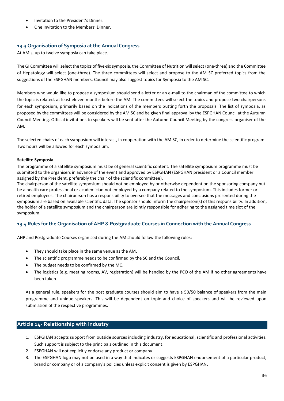- Invitation to the President's Dinner.
- One Invitation to the Members' Dinner.

# <span id="page-35-0"></span>**13.3 Organisation of Symposia at the Annual Congress**

At AM's, up to twelve symposia can take place.

The GI Committee will select the topics of five-six symposia, the Committee of Nutrition will select (one-three) and the Committee of Hepatology will select (one-three). The three committees will select and propose to the AM SC preferred topics from the suggestions of the ESPGHAN members. Council may also suggest topics for Symposia to the AM SC.

Members who would like to propose a symposium should send a letter or an e-mail to the chairman of the committee to which the topic is related, at least eleven months before the AM. The committees will select the topics and propose two chairpersons for each symposium, primarily based on the indications of the members putting forth the proposals. The list of symposia, as proposed by the committees will be considered by the AM SC and be given final approval by the ESPGHAN Council at the Autumn Council Meeting. Official invitations to speakers will be sent after the Autumn Council Meeting by the congress organiser of the AM.

The selected chairs of each symposium will interact, in cooperation with the AM SC, in order to determine the scientific program. Two hours will be allowed for each symposium.

# **Satellite Symposia**

The programme of a satellite symposium must be of general scientific content. The satellite symposium programme must be submitted to the organisers in advance of the event and approved by ESPGHAN (ESPGHAN president or a Council member assigned by the President, preferably the chair of the scientific committee).

The chairperson of the satellite symposium should not be employed by or otherwise dependent on the sponsoring company but be a health care professional or academician not employed by a company related to the symposium. This includes former or retired employees. The chairperson has a responsibility to oversee that the messages and conclusions presented during the symposium are based on available scientific data. The sponsor should inform the chairperson(s) of this responsibility. In addition, the holder of a satellite symposium and the chairperson are jointly responsible for adhering to the assigned time slot of the symposium.

# <span id="page-35-1"></span>**13.4 Rules for the Organisation of AHP & Postgraduate Courses in Connection with the Annual Congress**

AHP and Postgraduate Courses organised during the AM should follow the following rules:

- They should take place in the same venue as the AM.
- The scientific programme needs to be confirmed by the SC and the Council.
- The budget needs to be confirmed by the MC.
- The logistics (e.g. meeting rooms, AV, registration) will be handled by the PCO of the AM if no other agreements have been taken.

As a general rule, speakers for the post graduate courses should aim to have a 50/50 balance of speakers from the main programme and unique speakers. This will be dependent on topic and choice of speakers and will be reviewed upon submission of the respective programmes.

# <span id="page-35-2"></span>**Article 14- Relationship with Industry**

- 1. ESPGHAN accepts support from outside sources including industry, for educational, scientific and professional activities. Such support is subject to the principals outlined in this document.
- 2. ESPGHAN will not explicitly endorse any product or company.
- 3. The ESPGHAN logo may not be used in a way that indicates or suggests ESPGHAN endorsement of a particular product, brand or company or of a company's policies unless explicit consent is given by ESPGHAN.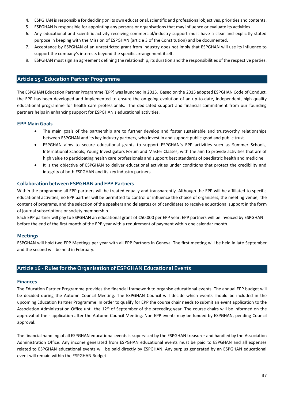- 4. ESPGHAN is responsible for deciding on its own educational, scientific and professional objectives, priorities and contents.
- 5. ESPGHAN is responsible for appointing any persons or organisations that may influence or evaluate its activities.
- 6. Any educational and scientific activity receiving commercial/industry support must have a clear and explicitly stated purpose in keeping with the Mission of ESPGHAN (article 3 of the Constitution) and be documented.
- 7. Acceptance by ESPGHAN of an unrestricted grant from industry does not imply that ESPGHAN will use its influence to support the company's interests beyond the specific arrangement itself.
- <span id="page-36-0"></span>8. ESPGHAN must sign an agreement defining the relationship, its duration and the responsibilities of the respective parties.

# **Article 15 - Education Partner Programme**

The ESPGHAN Education Partner Programme (EPP) was launched in 2015. Based on the 2015 adopted ESPGHAN Code of Conduct, the EPP has been developed and implemented to ensure the on-going evolution of an up-to-date, independent, high quality educational programme for health care professionals. The dedicated support and financial commitment from our founding partners helps in enhancing support for ESPGHAN's educational activities.

# **EPP Main Goals**

- The main goals of the partnership are to further develop and foster sustainable and trustworthy relationships between ESPGHAN and its key industry partners, who invest in and support public good and public trust.
- ESPGHAN aims to secure educational grants to support ESPGHAN's EPP activities such as Summer Schools, International Schools, Young Investigators Forum and Master Classes, with the aim to provide activities that are of high value to participating health care professionals and support best standards of paediatric health and medicine.
- It is the objective of ESPGHAN to deliver educational activities under conditions that protect the credibility and integrity of both ESPGHAN and its key industry partners.

# **Collaboration between ESPGHAN and EPP Partners**

Within the programme all EPP partners will be treated equally and transparently. Although the EPP will be affiliated to specific educational activities, no EPP partner will be permitted to control or influence the choice of organisers, the meeting venue, the content of programs, and the selection of the speakers and delegates or of candidates to receive educational support in the form of journal subscriptions or society membership.

Each EPP partner will pay to ESPGHAN an educational grant of €50.000 per EPP year. EPP partners will be invoiced by ESPGHAN before the end of the first month of the EPP year with a requirement of payment within one calendar month.

# **Meetings**

ESPGHAN will hold two EPP Meetings per year with all EPP Partners in Geneva. The first meeting will be held in late September and the second will be held in February.

# <span id="page-36-1"></span>**Article 16 - Rules for the Organisation of ESPGHAN Educational Events**

#### **Finances**

The Education Partner Programme provides the financial framework to organise educational events. The annual EPP budget will be decided during the Autumn Council Meeting. The ESPGHAN Council will decide which events should be included in the upcoming Education Partner Programme. In order to qualify for EPP the course chair needs to submit an event application to the Association Administration Office until the 12<sup>th</sup> of September of the preceding year. The course chairs will be informed on the approval of their application after the Autumn Council Meeting. Non-EPP events may be funded by ESPGHAN, pending Council approval.

The financial handling of all ESPGHAN educational events is supervised by the ESPGHAN treasurer and handled by the Association Administration Office. Any income generated from ESPGHAN educational events must be paid to ESPGHAN and all expenses related to ESPGHAN educational events will be paid directly by ESPGHAN. Any surplus generated by an ESPGHAN educational event will remain within the ESPGHAN Budget.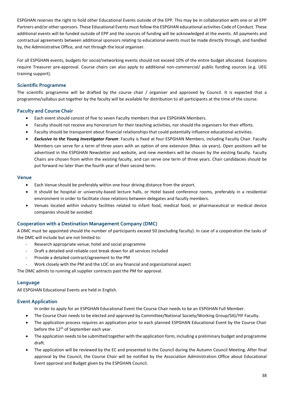ESPGHAN reserves the right to hold other Educational Events outside of the EPP. This may be in collaboration with one or all EPP Partners and/or other sponsors. These Educational Events must follow the ESPGHAN educational activities Code of Conduct. These additional events will be funded outside of EPP and the sources of funding will be acknowledged at the events. All payments and contractual agreements between additional sponsors relating to educational events must be made directly through, and handled by, the Administrative Office, and not through the local organiser.

For all ESPGHAN events, budgets for social/networking events should not exceed 10% of the entire budget allocated. Exceptions require Treasurer pre-approval. Course chairs can also apply to additional non-commercial/ public funding sources (e.g. UEG training support).

# **Scientific Programme**

The scientific programme will be drafted by the course chair / organiser and approved by Council. It is expected that a programme/syllabus put together by the faculty will be available for distribution to all participants at the time of the course.

# **Faculty and Course Chair**

- Each event should consist of five to seven Faculty members that are ESPGHAN Members.
- Faculty should not receive any honorarium for their teaching activities, nor should the organisers for their efforts.
- Faculty should be transparent about financial relationships that could potentially influence educational activities.
- *Exclusive to the Young Investigator Forum*: Faculty is fixed at four ESPGHAN Members, including Faculty Chair. Faculty Members can serve for a term of three years with an option of one extension (Max. six years). Open positions will be advertised in the ESPGHAN Newsletter and website, and new members will be chosen by the existing faculty. Faculty Chairs are chosen from within the existing faculty, and can serve one term of three years. Chair candidacies should be put forward no later than the fourth year of their second term.

# **Venue**

- Each Venue should be preferably within one hour driving distance from the airport.
- It should be hospital or university-based lecture halls, or Hotel based conference rooms, preferably in a residential environment in order to facilitate close relations between delegates and faculty members.
- Venues located within industry facilities related to infant food, medical food, or pharmaceutical or medical device companies should be avoided.

# **Cooperation with a Destination Management Company (DMC)**

A DMC must be appointed should the number of participants exceed 50 (excluding faculty). In case of a cooperation the tasks of the DMC will include but are not limited to:

- Research appropriate venue, hotel and social programme
- Draft a detailed and reliable cost break down for all services included
- Provide a detailed contract/agreement to the PM
- Work closely with the PM and the LOC on any financial and organizational aspect

The DMC admits to running all supplier contracts past the PM for approval.

# **Language**

All ESPGHAN Educational Events are held in English.

# **Event Application**

In order to apply for an ESPGHAN Educational Event the Course Chair needs to be an ESPGHAN Full Member.

- The Course Chair needs to be elected and approved by Committee/National Society/Working Group/SIG/YIF Faculty.
- The application process requires an application prior to each planned ESPGHAN Educational Event by the Course Chair before the 12<sup>th</sup> of September each year.
- The application needs to be submitted together with the application form, including a preliminary budget and programme draft.
- The application will be reviewed by the EC and presented to the Council during the Autumn Council Meeting. After final approval by the Council, the Course Chair will be notified by the Association Administration Office about Educational Event approval and Budget given by the ESPGHAN Council.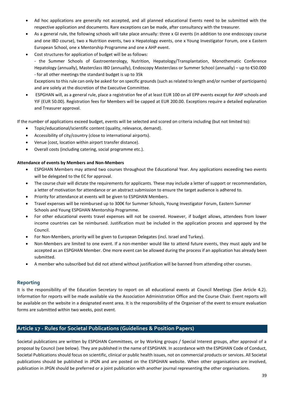- Ad hoc applications are generally not accepted, and all planned educational Events need to be submitted with the respective application and documents. Rare exceptions can be made, after consultancy with the treasurer.
- As a general rule, the following schools will take place annually: three x GI events (in addition to one endoscopy course and one IBD course), two x Nutrition events, two x Hepatology events, one x Young Investigator Forum, one x Eastern European School, one x Mentorship Programme and one x AHP event.
- Cost structures for application of budget will be as follows:

- the Summer Schools of Gastroenterology, Nutrition, Hepatology/Transplantation, Monothematic Conference Hepatology (annually), Masterclass IBD (annually), Endoscopy Masterclass or Summer School (annually) – up to €50.000 - for all other meetings the standard budget is up to 35k

Exceptions to this rule can only be asked for on specific grounds (such as related to length and/or number of participants) and are solely at the discretion of the Executive Committee.

• ESPGHAN will, as a general rule, place a registration fee of at least EUR 100 on all EPP events except for AHP schools and YIF (EUR 50.00). Registration fees for Members will be capped at EUR 200.00. Exceptions require a detailed explanation and Treasurer approval.

If the number of applications exceed budget, events will be selected and scored on criteria including (but not limited to):

- Topic/educational/scientific content (quality, relevance, demand).
- Accessibility of city/country (close to international airports).
- Venue (cost, location within airport transfer distance).
- Overall costs (including catering, social programme etc.).

# **Attendance of events by Members and Non-Members**

- ESPGHAN Members may attend two courses throughout the Educational Year. Any applications exceeding two events will be delegated to the EC for approval.
- The course chair will dictate the requirements for applicants. These may include a letter of support or recommendation, a letter of motivation for attendance or an abstract submission to ensure the target audience is adhered to.
- Priority for attendance at events will be given to ESPGHAN Members.
- Travel expenses will be reimbursed up to 300€ for Summer Schools, Young Investigator Forum, Eastern Summer Schools and Young ESPGHAN Mentorship Programme.
- For other educational events travel expenses will not be covered. However, if budget allows, attendees from lower income countries can be reimbursed. Justification must be included in the application process and approved by the Council.
- For Non-Members, priority will be given to European Delegates (incl. Israel and Turkey).
- Non-Members are limited to one event. If a non-member would like to attend future events, they must apply and be accepted as an ESPGHAN Member. One more event can be allowed during the process if an application has already been submitted.
- A member who subscribed but did not attend without justification will be banned from attending other courses.

# **Reporting**

It is the responsibility of the Education Secretary to report on all educational events at Council Meetings (See Article 4.2). Information for reports will be made available via the Association Administration Office and the Course Chair. Event reports will be available on the website in a designated event area. It is the responsibility of the Organiser of the event to ensure evaluation forms are submitted within two weeks, post event.

# <span id="page-38-0"></span>**Article 17 - Rules for Societal Publications (Guidelines & Position Papers)**

Societal publications are written by ESPGHAN Committees, or by Working groups / Special Interest groups, after approval of a proposal by Council (see below). They are published in the name of ESPGHAN. In accordance with the ESPGHAN Code of Conduct, Societal Publications should focus on scientific, clinical or public health issues, not on commercial products or services. All Societal publications should be published in JPGN and are posted on the ESPGHAN website. When other organisations are involved, publication in JPGN should be preferred or a joint publication with another journal representing the other organisations.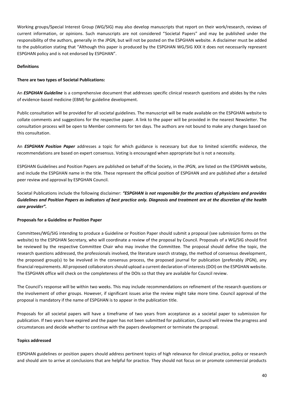Working groups/Special Interest Group (WG/SIG) may also develop manuscripts that report on their work/research, reviews of current information, or opinions. Such manuscripts are not considered "Societal Papers" and may be published under the responsibility of the authors, generally in the JPGN, but will not be posted on the ESPGHAN website. A disclaimer must be added to the publication stating that "Although this paper is produced by the ESPGHAN WG/SIG XXX it does not necessarily represent ESPGHAN policy and is not endorsed by ESPGHAN".

# **Definitions**

# **There are two types of Societal Publications:**

An *ESPGHAN Guideline* is a comprehensive document that addresses specific clinical research questions and abides by the rules of evidence-based medicine (EBM) for guideline development.

Public consultation will be provided for all societal guidelines. The manuscript will be made available on the ESPGHAN website to collate comments and suggestions for the respective paper. A link to the paper will be provided in the nearest Newsletter. The consultation process will be open to Member comments for ten days. The authors are not bound to make any changes based on this consultation.

An *ESPGHAN Position Paper* addresses a topic for which guidance is necessary but due to limited scientific evidence, the recommendations are based on expert consensus. Voting is encouraged when appropriate but is not a necessity.

ESPGHAN Guidelines and Position Papers are published on behalf of the Society, in the JPGN, are listed on the ESPGHAN website, and include the ESPGHAN name in the title. These represent the official position of ESPGHAN and are published after a detailed peer review and approval by ESPGHAN Council.

Societal Publications include the following disclaimer: *"ESPGHAN is not responsible for the practices of physicians and provides Guidelines and Position Papers as indicators of best practice only. Diagnosis and treatment are at the discretion of the health care provider".*

#### **Proposals for a Guideline or Position Paper**

Committees/WG/SIG intending to produce a Guideline or Position Paper should submit a proposal (see submission forms on the website) to the ESPGHAN Secretary, who will coordinate a review of the proposal by Council. Proposals of a WG/SIG should first be reviewed by the respective Committee Chair who may involve the Committee. The proposal should define the topic, the research questions addressed, the professionals involved, the literature search strategy, the method of consensus development, the proposed group(s) to be involved in the consensus process, the proposed journal for publication (preferably JPGN), any financial requirements. All proposed collaborators should upload a current declaration of interests (DOI) on the ESPGHAN website. The ESPGHAN office will check on the completeness of the DOIs so that they are available for Council review.

The Council's response will be within two weeks. This may include recommendations on refinement of the research questions or the involvement of other groups. However, if significant issues arise the review might take more time. Council approval of the proposal is mandatory if the name of ESPGHAN is to appear in the publication title.

Proposals for all societal papers will have a timeframe of two years from acceptance as a societal paper to submission for publication. If two years have expired and the paper has not been submitted for publication, Council will review the progress and circumstances and decide whether to continue with the papers development or terminate the proposal.

#### **Topics addressed**

ESPGHAN guidelines or position papers should address pertinent topics of high relevance for clinical practice, policy or research and should aim to arrive at conclusions that are helpful for practice. They should not focus on or promote commercial products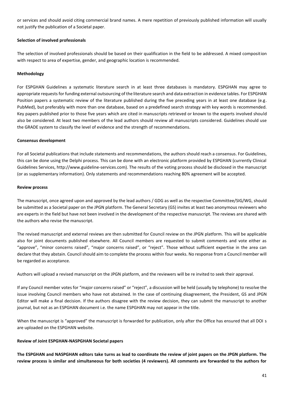or services and should avoid citing commercial brand names. A mere repetition of previously published information will usually not justify the publication of a Societal paper.

# **Selection of involved professionals**

The selection of involved professionals should be based on their qualification in the field to be addressed. A mixed composition with respect to area of expertise, gender, and geographic location is recommended.

# **Methodology**

For ESPGHAN Guidelines a systematic literature search in at least three databases is mandatory. ESPGHAN may agree to appropriate requests for funding external outsourcing of the literature search and data extraction in evidence tables. For ESPGHAN Position papers a systematic review of the literature published during the five preceding years in at least one database (e.g. PubMed), but preferably with more than one database, based on a predefined search strategy with key words is recommended. Key papers published prior to those five years which are cited in manuscripts retrieved or known to the experts involved should also be considered. At least two members of the lead authors should review all manuscripts considered. Guidelines should use the GRADE system to classify the level of evidence and the strength of recommendations.

#### **Consensus development**

For all Societal publications that include statements and recommendations, the authors should reach a consensus. For Guidelines, this can be done using the Delphi process. This can be done with an electronic platform provided by ESPGHAN (currently Clinical Guidelines Services, http://www.guideline-services.com). The results of the voting process should be disclosed in the manuscript (or as supplementary information). Only statements and recommendations reaching 80% agreement will be accepted.

#### **Review process**

The manuscript, once agreed upon and approved by the lead authors / GDG as well as the respective Committee/SIG/WG, should be submitted as a Societal paper on the JPGN platform. The General Secretary (GS) invites at least two anonymous reviewers who are experts in the field but have not been involved in the development of the respective manuscript. The reviews are shared with the authors who revise the manuscript.

The revised manuscript and external reviews are then submitted for Council review on the JPGN platform. This will be applicable also for joint documents published elsewhere. All Council members are requested to submit comments and vote either as "approve", "minor concerns raised", "major concerns raised", or "reject". Those without sufficient expertise in the area can declare that they abstain. Council should aim to complete the process within four weeks. No response from a Council member will be regarded as acceptance.

Authors will upload a revised manuscript on the JPGN platform, and the reviewers will be re invited to seek their approval.

If any Council member votes for "major concerns raised" or "reject", a discussion will be held (usually by telephone) to resolve the issue involving Council members who have not abstained. In the case of continuing disagreement, the President, GS and JPGN Editor will make a final decision. If the authors disagree with the review decision, they can submit the manuscript to another journal, but not as an ESPGHAN document i.e. the name ESPGHAN may not appear in the title.

When the manuscript is "approved" the manuscript is forwarded for publication, only after the Office has ensured that all DOI s are uploaded on the ESPGHAN website.

#### **Review of Joint ESPGHAN-NASPGHAN Societal papers**

**The ESPGHAN and NASPGHAN editors take turns as lead to coordinate the review of joint papers on the JPGN platform. The review process is similar and simultaneous for both societies (4 reviewers). All comments are forwarded to the authors for**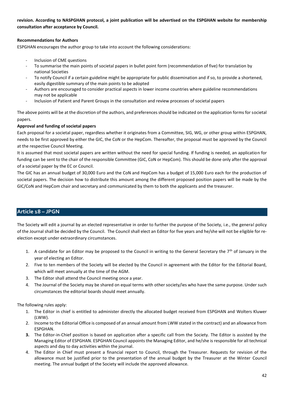**revision. According to NASPGHAN protocol, a joint publication will be advertised on the ESPGHAN website for membership consultation after acceptance by Council.** 

# **Recommendations for Authors**

ESPGHAN encourages the author group to take into account the following considerations:

- Inclusion of CME questions
- To summarise the main points of societal papers in bullet point form (recommendation of five) for translation by national Societies
- To notify Council if a certain guideline might be appropriate for public dissemination and if so, to provide a shortened, easily digestible summary of the main points to be adopted
- Authors are encouraged to consider practical aspects in lower income countries where guideline recommendations may not be applicable
- Inclusion of Patient and Parent Groups in the consultation and review processes of societal papers

The above points will be at the discretion of the authors, and preferences should be indicated on the application forms for societal papers.

# **Approval and funding of societal papers**

Each proposal for a societal paper, regardless whether it originates from a Committee, SIG, WG, or other group within ESPGHAN, needs to be first approved by either the GIC, the CoN or the HepCom. Thereafter, the proposal must be approved by the Council at the respective Council Meeting.

It is assumed that most societal papers are written without the need for special funding. If funding is needed, an application for funding can be sent to the chair of the responsible Committee (GIC, CoN or HepCom). This should be done only after the approval of a societal paper by the EC or Council.

The GIC has an annual budget of 30,000 Euro and the CoN and HepCom has a budget of 15,000 Euro each for the production of societal papers. The decision how to distribute this amount among the different proposed position papers will be made by the GIC/CoN and HepCom chair and secretary and communicated by them to both the applicants and the treasurer.

# <span id="page-41-0"></span>**Article 18 – JPGN**

The Society will edit a journal by an elected representative in order to further the purpose of the Society, i.e., the general policy of the Journal shall be decided by the Council. The Council shall elect an Editor for five years and he/she will not be eligible for reelection except under extraordinary circumstances.

- 1. A candidate for an Editor may be proposed to the Council in writing to the General Secretary the  $7<sup>th</sup>$  of January in the year of electing an Editor.
- 2. Five to ten members of the Society will be elected by the Council in agreement with the Editor for the Editorial Board, which will meet annually at the time of the AGM.
- 3. The Editor shall attend the Council meeting once a year.
- 4. The Journal of the Society may be shared on equal terms with other society/ies who have the same purpose. Under such circumstances the editorial boards should meet annually.

The following rules apply:

- 1. The Editor in chief is entitled to administer directly the allocated budget received from ESPGHAN and Wolters Kluwer (LWW).
- 2. Income to the Editorial Office is composed of an annual amount from LWW stated in the contract) and an allowance from ESPGHAN.
- **3.** The Editor-in-Chief position is based on application after a specific call from the Society. The Editor is assisted by the Managing Editor of ESPGHAN. ESPGHAN Council appoints the Managing Editor, and he/she is responsible for all technical aspects and day to day activities within the journal.
- 4. The Editor in Chief must present a financial report to Council, through the Treasurer. Requests for revision of the allowance must be justified prior to the presentation of the annual budget by the Treasurer at the Winter Council meeting. The annual budget of the Society will include the approved allowance.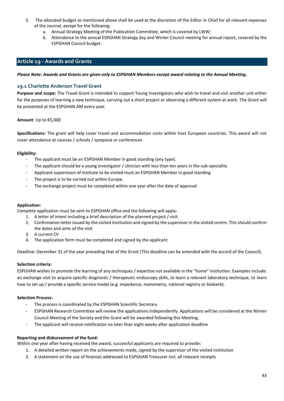- 5. The allocated budget as mentioned above shall be used at the discretion of the Editor in Chief for all relevant expenses of the Journal, except for the following:
	- a. Annual Strategy Meeting of the Publication Committee, which is covered by LWW;
	- b. Attendance to the annual ESPGHAN Strategy day and Winter Council meeting for annual report, covered by the ESPGHAN Council budget.

# <span id="page-42-0"></span>**Article 19 - Awards and Grants**

<span id="page-42-1"></span>*Please Note: Awards and Grants are given only to ESPGHAN Members except award relating to the Annual Meeting.* 

# <span id="page-42-2"></span>**19.1 Charlotte Anderson Travel Grant**

**Purpose and scope:** The Travel Grant is intended to support Young Investigators who wish to travel and visit another unit either for the purposes of learning a new technique, carrying out a short project or observing a different system at work. The Grant will be presented at the ESPGHAN AM every year.

#### **Amount**: Up to €5,000

**Specifications:** The grant will help cover travel and accommodation costs within host European countries. This award will not cover attendance at courses / schools / symposia or conferences

# **Eligibility:**

- The applicant must be an ESPGHAN Member in good standing (any type).
- The applicant should be a young investigator / clinician with less than ten years in the sub-speciality
- Applicant supervisors of institute to be visited must an ESPGHAN Member in good standing
- The project is to be carried out within Europe.
- The exchange project must be completed within one year after the date of approval

#### **Application:**

Complete application must be sent to ESPGHAN office and the following will apply:

- 1. A letter of intent including a brief description of the planned project / visit
- 2. Confirmation letter issued by the visited Institution and signed by the supervisor in the visited centre. This should confirm the dates and aims of the visit
- 3. A current CV
- 4. The application form must be completed and signed by the applicant

Deadline: December 31 of the year preceding that of the Grant (This deadline can be extended with the accord of the Council).

# **Selection criteria:**

ESPGHAN wishes to promote the learning of any techniques / expertise not available in the "home" institution. Examples include: an exchange visit to acquire specific diagnostic / therapeutic endoscopy skills, to learn a relevant laboratory technique, to learn how to set up / provide a specific service model (e.g. impedance, manometry, national registry or biobank).

# **Selection Process:**

- The process is coordinated by the ESPGHAN Scientific Secretary
- ESPGHAN Research Committee will review the applications independently. Applications will be considered at the Winter Council Meeting of the Society and the Grant will be awarded following this Meeting.
- The applicant will receive notification no later than eight weeks after application deadline

# **Reporting and disbursement of the fund:**

Within one year after having received the award, successful applicants are required to provide:

- 1. A detailed written report on the achievements made, signed by the supervisor of the visited institution
- 2. A statement on the use of finances addressed to ESPGHAN Treasurer incl. all relevant receipts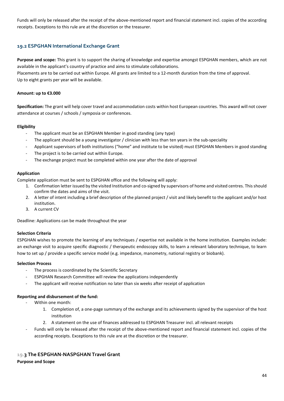Funds will only be released after the receipt of the above-mentioned report and financial statement incl. copies of the according receipts. Exceptions to this rule are at the discretion or the treasurer.

# <span id="page-43-0"></span>**19.2 ESPGHAN International Exchange Grant**

**Purpose and scope:** This grant is to support the sharing of knowledge and expertise amongst ESPGHAN members, which are not available in the applicant's country of practice and aims to stimulate collaborations.

Placements are to be carried out within Europe. All grants are limited to a 12-month duration from the time of approval. Up to eight grants per year will be available.

#### **Amount: up to €3.000**

**Specification:** The grant will help cover travel and accommodation costs within host European countries. This award will not cover attendance at courses / schools / symposia or conferences.

#### **Eligibility**

- The applicant must be an ESPGHAN Member in good standing (any type)
- The applicant should be a young investigator / clinician with less than ten years in the sub-speciality
- Applicant supervisors of both institutions ("home" and institute to be visited) must ESPGHAN Members in good standing
- The project is to be carried out within Europe.
- The exchange project must be completed within one year after the date of approval

#### **Application**

Complete application must be sent to ESPGHAN office and the following will apply:

- 1. Confirmation letter issued by the visited Institution and co-signed by supervisors of home and visited centres. This should confirm the dates and aims of the visit.
- 2. A letter of intent including a brief description of the planned project / visit and likely benefit to the applicant and/or host institution.
- 3. A current CV

Deadline: Applications can be made throughout the year

#### **Selection Criteria**

ESPGHAN wishes to promote the learning of any techniques / expertise not available in the home institution. Examples include: an exchange visit to acquire specific diagnostic / therapeutic endoscopy skills, to learn a relevant laboratory technique, to learn how to set up / provide a specific service model (e.g. impedance, manometry, national registry or biobank).

#### **Selection Process**

- The process is coordinated by the Scientific Secretary
- ESPGHAN Research Committee will review the applications independently
- The applicant will receive notification no later than six weeks after receipt of application

# **Reporting and disbursement of the fund:**

- Within one month:
	- 1. Completion of, a one-page summary of the exchange and its achievements signed by the supervisor of the host institution
	- 2. A statement on the use of finances addressed to ESPGHAN Treasurer incl. all relevant receipts
- Funds will only be released after the receipt of the above-mentioned report and financial statement incl. copies of the according receipts. Exceptions to this rule are at the discretion or the treasurer.

# <span id="page-43-1"></span>**19.3 The ESPGHAN-NASPGHAN Travel Grant**

#### **Purpose and Scope**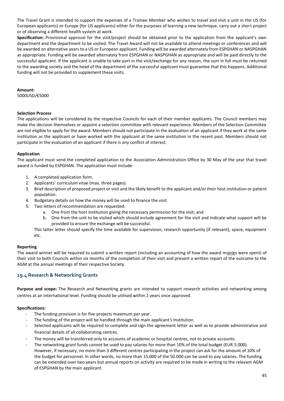The Travel Grant is intended to support the expenses of a Trainee Member who wishes to travel and visit a unit in the US (for European applicants) or Europe (for US applicants) either for the purposes of learning a new technique, carry out a short project or of observing a different health system at work.

**Specification:** Provisional approval for the visit/project should be obtained prior to the application from the applicant's own department and the department to be visited. The Travel Award will not be available to attend meetings or conferences and will be awarded on alternative years to a US or European applicant. Funding will be awarded alternately from ESPGHAN or NASPGHAN as appropriate. Funding will be awarded alternately from ESPGHAN or NASPGHAN as appropriate and will be paid directly to the successful applicant. If the applicant is unable to take part in the visit/exchange for any reason, the sum in full must be returned to the awarding society and the head of the department of the successful applicant must guarantee that this happens. Additional funding will not be provided to supplement these visits.

#### **Amount:**

5000USD/€5000

#### **Selection Process**

The applications will be considered by the respective Councils for each of their member applicants. The Council members may make the decision themselves or appoint a selection committee with relevant experience. Members of the Selection Committee are not eligible to apply for the award. Members should not participate in the evaluation of an applicant if they work at the same institution as the applicant or have worked with the applicant at the same institution in the recent past. Members should not participate in the evaluation of an applicant if there is any conflict of interest.

# **Application**

The applicant must send the completed application to the Association Administration Office by 30 May of the year that travel award is funded by ESPGHAN. The application must include:

- 1. A completed application form.
- 2. Applicants' curriculum vitae (max. three pages).
- 3. Brief description of proposed project or visit and the likely benefit to the applicant and/or their host institution or patient population.
- 4. Budgetary details on how the money will be used to finance the visit.
- 5. Two letters of recommendation are requested:
	- a. One from the host institution giving the necessary permission for the visit; and
	- b. One from the unit to be visited which should include agreement for the visit and indicate what support will be provided to ensure the exchange will be successful.

This latter letter should specify the time available for supervision, research opportunity (if relevant), space, equipment etc.

#### **Reporting**

The award winner will be required to submit a written report (including an accounting of how the award monies were spent) of their visit to both Councils within six months of the completion of their visit and present a written report of the outcome to the AGM at the annual meetings of their respective Society.

# <span id="page-44-0"></span>**19.4 Research & Networking Grants**

**Purpose and scope:** The Research and Networking grants are intended to support research activities and networking among centres at an international level. Funding should be utilised within 2 years once approved.

#### **Specifications:**

- The funding provision is for five projects maximum per year.
- The funding of the project will be handled through the main applicant's Institution.
- Selected applicants will be required to complete and sign the agreement letter as well as to provide administrative and financial details of all collaborating centres.
- The money will be transferred only to accounts of academic or hospital centres, not to private accounts.
- The networking grant funds cannot be used to pay salaries for more than 10% of the total budget (EUR 5.000). However, if necessary, no more than 3 different centres participating in the project can ask for the amount of 10% of the budget for personnel. In other words, no more than 15.000 of the 50.000 can be used to pay salaries. The funding can be extended over two years but annual reports on activity are required to be made in writing to the relevant AGM of ESPGHAN by the main applicant.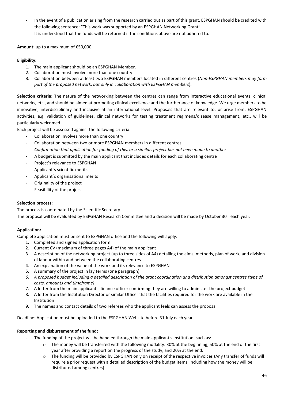- In the event of a publication arising from the research carried out as part of this grant, ESPGHAN should be credited with the following sentence: "This work was supported by an ESPGHAN Networking Grant".
- It is understood that the funds will be returned if the conditions above are not adhered to.

# **Amount:** up to a maximum of €50,000

# **Eligibility:**

- 1. The main applicant should be an ESPGHAN Member.
- 2. Collaboration must involve more than one country
- 3. Collaboration between at least two ESPGHAN members located in different centres (*Non-ESPGHAN members may form part of the proposed network, but only in collaboration with ESPGHAN members*).

**Selection criteria:** The nature of the networking between the centres can range from interactive educational events, clinical networks, etc., and should be aimed at promoting clinical excellence and the furtherance of knowledge. We urge members to be innovative, interdisciplinary and inclusive at an international level. Proposals that are relevant to, or arise from, ESPGHAN activities, e.g. validation of guidelines, clinical networks for testing treatment regimens/disease management, etc., will be particularly welcomed.

Each project will be assessed against the following criteria:

- Collaboration involves more than one country
- Collaboration between two or more ESPGHAN members in different centres
- *Confirmation that application for funding of this, or a similar, project has not been made to another*
- A budget is submitted by the main applicant that includes details for each collaborating centre
- Project's relevance to ESPGHAN
- Applicant's scientific merits
- Applicant´s organisational merits
- Originality of the project
- Feasibility of the project

# **Selection process:**

The process is coordinated by the Scientific Secretary The proposal will be evaluated by ESPGHAN Research Committee and a decision will be made by October 30<sup>th</sup> each year.

# **Application:**

Complete application must be sent to ESPGHAN office and the following will apply:

- 1. Completed and signed application form
- 2. Current CV (maximum of three pages A4) of the main applicant
- 3. A description of the networking project (up to three sides of A4) detailing the aims, methods, plan of work, and division of labour within and between the collaborating centres
- 4. An explanation of the value of the work and its relevance to ESPGHAN
- 5. A summary of the project in lay terms (one paragraph)
- *6. A proposed budget including a detailed description of the grant coordination and distribution amongst centres (type of costs, amounts and timeframe)*
- 7. A letter from the main applicant's finance officer confirming they are willing to administer the project budget
- 8. A letter from the Institution Director or similar Officer that the facilities required for the work are available in the Institution
- 9. The names and contact details of two referees who the applicant feels can assess the proposal

Deadline: Application must be uploaded to the ESPGHAN Website before 31 July each year.

# **Reporting and disbursement of the fund:**

- The funding of the project will be handled through the main applicant's Institution, such as:
	- o The money will be transferred with the following modality: 30% at the beginning, 50% at the end of the first year after providing a report on the progress of the study, and 20% at the end.
	- o The funding will be provided by ESPGHAN only on receipt of the respective invoices (Any transfer of funds will require a prior request with a detailed description of the budget items, including how the money will be distributed among centres).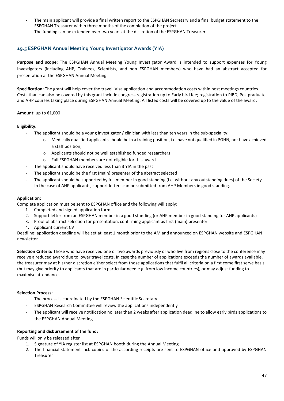- The main applicant will provide a final written report to the ESPGHAN Secretary and a final budget statement to the ESPGHAN Treasurer within three months of the completion of the project.
- The funding can be extended over two years at the discretion of the ESPGHAN Treasurer.

# <span id="page-46-0"></span>**19.5 ESPGHAN Annual Meeting Young Investigator Awards (YIA)**

**Purpose and scope**: The ESPGHAN Annual Meeting Young Investigator Award is intended to support expenses for Young Investigators (including AHP, Trainees, Scientists, and non ESPGHAN members) who have had an abstract accepted for presentation at the ESPGHAN Annual Meeting.

**Specification:** The grant will help cover the travel, Visa application and accommodation costs within host meetings countries. Costs than can also be covered by this grant include congress registration up to Early bird fee; registration to PIBD, Postgraduate and AHP courses taking place during ESPGHAN Annual Meeting. All listed costs will be covered up to the value of the award.

# **Amount:** up to €1,000

#### **Eligibility:**

- The applicant should be a young investigator / clinician with less than ten years in the sub-speciality:
	- o Medically qualified applicants should be in a training position, i.e. have not qualified in PGHN, nor have achieved a staff position;
	- o Applicants should not be well established funded researchers
	- o Full ESPGHAN members are not eligible for this award
- The applicant should have received less than 3 YIA in the past
- The applicant should be the first (main) presenter of the abstract selected
- The applicant should be supported by full member in good standing (i.e. without any outstanding dues) of the Society. In the case of AHP applicants, support letters can be submitted from AHP Members in good standing.

#### **Application:**

Complete application must be sent to ESPGHAN office and the following will apply:

- 1. Completed and signed application form
- 2. Support letter from an ESPGHAN member in a good standing (or AHP member in good standing for AHP applicants)
- 3. Proof of abstract selection for presentation, confirming applicant as first (main) presenter
- 4. Applicant current CV

Deadline: application deadline will be set at least 1 month prior to the AM and announced on ESPGHAN website and ESPGHAN newsletter.

**Selection Criteria:** Those who have received one or two awards previously or who live from regions close to the conference may receive a reduced award due to lower travel costs. In case the number of applications exceeds the number of awards available, the treasurer may at his/her discretion either select from those applications that fulfil all criteria on a first come first serve basis (but may give priority to applicants that are in particular need e.g. from low income countries), or may adjust funding to maximise attendance.

#### **Selection Process:**

- The process is coordinated by the ESPGHAN Scientific Secretary
- ESPGHAN Research Committee will review the applications independently
- The applicant will receive notification no later than 2 weeks after application deadline to allow early birds applications to the ESPGHAN Annual Meeting.

#### **Reporting and disbursement of the fund:**

Funds will only be released after

- 1. Signature of YIA register list at ESPGHAN booth during the Annual Meeting
- 2. The financial statement incl. copies of the according receipts are sent to ESPGHAN office and approved by ESPGHAN Treasurer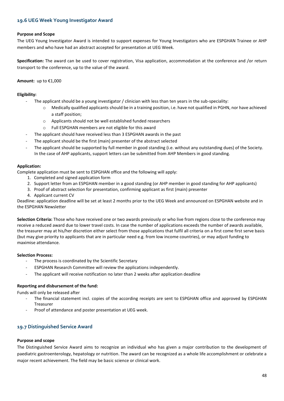# <span id="page-47-0"></span>**19.6 UEG Week Young Investigator Award**

#### **Purpose and Scope**

The UEG Young Investigator Award is intended to support expenses for Young Investigators who are ESPGHAN Trainee or AHP members and who have had an abstract accepted for presentation at UEG Week.

**Specification:** The award can be used to cover registration, Visa application, accommodation at the conference and /or return transport to the conference, up to the value of the award.

#### **Amount:** up to €1,000

#### **Eligibility:**

- The applicant should be a young investigator / clinician with less than ten years in the sub-speciality:
	- $\circ$  Medically qualified applicants should be in a training position, i.e. have not qualified in PGHN, nor have achieved a staff position;
	- o Applicants should not be well established funded researchers
	- o Full ESPGHAN members are not eligible for this award
- The applicant should have received less than 3 ESPGHAN awards in the past
- The applicant should be the first (main) presenter of the abstract selected
- The applicant should be supported by full member in good standing (i.e. without any outstanding dues) of the Society. In the case of AHP applicants, support letters can be submitted from AHP Members in good standing.

#### **Application:**

Complete application must be sent to ESPGHAN office and the following will apply:

- 1. Completed and signed application form
- 2. Support letter from an ESPGHAN member in a good standing (or AHP member in good standing for AHP applicants)
- 3. Proof of abstract selection for presentation, confirming applicant as first (main) presenter
- 4. Applicant current CV

Deadline: application deadline will be set at least 2 months prior to the UEG Week and announced on ESPGHAN website and in the ESPGHAN Newsletter

**Selection Criteria:** Those who have received one or two awards previously or who live from regions close to the conference may receive a reduced award due to lower travel costs. In case the number of applications exceeds the number of awards available, the treasurer may at his/her discretion either select from those applications that fulfil all criteria on a first come first serve basis (but may give priority to applicants that are in particular need e.g. from low income countries), or may adjust funding to maximise attendance.

#### **Selection Process:**

- The process is coordinated by the Scientific Secretary
- ESPGHAN Research Committee will review the applications independently.
- The applicant will receive notification no later than 2 weeks after application deadline

#### **Reporting and disbursement of the fund:**

Funds will only be released after

- The financial statement incl. copies of the according receipts are sent to ESPGHAN office and approved by ESPGHAN Treasurer
- Proof of attendance and poster presentation at UEG week.

#### <span id="page-47-1"></span>**19.7 Distinguished Service Award**

#### **Purpose and scope**

The Distinguished Service Award aims to recognize an individual who has given a major contribution to the development of paediatric gastroenterology, hepatology or nutrition. The award can be recognized as a whole life accomplishment or celebrate a major recent achievement. The field may be basic science or clinical work.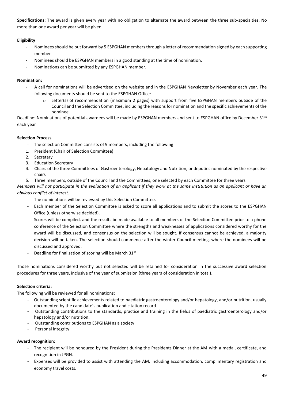**Specifications:** The award is given every year with no obligation to alternate the award between the three sub-specialties. No more than one award per year will be given.

# **Eligibility**

- Nominees should be put forward by 5 ESPGHAN members through a letter of recommendation signed by each supporting member
- Nominees should be ESPGHAN members in a good standing at the time of nomination.
- Nominations can be submitted by any ESPGHAN member.

# **Nomination:**

- A call for nominations will be advertised on the website and in the ESPGHAN Newsletter by November each year. The following documents should be sent to the ESPGHAN Office:
	- o Letter(s) of recommendation (maximum 2 pages) with support from five ESPGHAN members outside of the Council and the Selection Committee, including the reasons for nomination and the specific achievements of the nominee.

Deadline: Nominations of potential awardees will be made by ESPGHAN members and sent to ESPGHAN office by December 31<sup>st</sup> each year

# **Selection Process**

- The selection Committee consists of 9 members, including the following:
- 1. President (Chair of Selection Committee)
- 2. Secretary
- 3. Education Secretary
- 4. Chairs of the three Committees of Gastroenterology, Hepatology and Nutrition, or deputies nominated by the respective chairs
- 5. Three members, outside of the Council and the Committees, one selected by each Committee for three years

*Members will not participate in the evaluation of an applicant if they work at the same institution as an applicant or have an obvious conflict of interest.*

- The nominations will be reviewed by this Selection Committee.
- Each member of the Selection Committee is asked to score all applications and to submit the scores to the ESPGHAN Office (unless otherwise decided).
- Scores will be compiled, and the results be made available to all members of the Selection Committee prior to a phone conference of the Selection Committee where the strengths and weaknesses of applications considered worthy for the award will be discussed, and consensus on the selection will be sought. If consensus cannot be achieved, a majority decision will be taken. The selection should commence after the winter Council meeting, where the nominees will be discussed and approved.
- Deadline for finalisation of scoring will be March  $31<sup>st</sup>$

Those nominations considered worthy but not selected will be retained for consideration in the successive award selection procedures for three years, inclusive of the year of submission (three years of consideration in total).

# **Selection criteria:**

The following will be reviewed for all nominations:

- Outstanding scientific achievements related to paediatric gastroenterology and/or hepatology, and/or nutrition, usually documented by the candidate's publication and citation record.
- Outstanding contributions to the standards, practice and training in the fields of paediatric gastroenterology and/or hepatology and/or nutrition.
- Outstanding contributions to ESPGHAN as a society
- Personal integrity

# **Award recognition:**

- The recipient will be honoured by the President during the Presidents Dinner at the AM with a medal, certificate, and recognition in JPGN.
- Expenses will be provided to assist with attending the AM, including accommodation, complimentary registration and economy travel costs.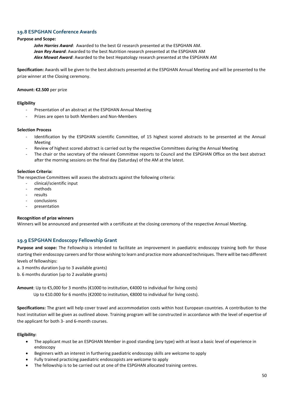# <span id="page-49-0"></span>**19.8 ESPGHAN Conference Awards**

# **Purpose and Scope:**

*John Harries Award*: Awarded to the best GI research presented at the ESPGHAN AM. *Jean Rey Award*: Awarded to the best Nutrition research presented at the ESPGHAN AM *Alex Mowat Award*: Awarded to the best Hepatology research presented at the ESPGHAN AM

**Specification:** Awards will be given to the best abstracts presented at the ESPGHAN Annual Meeting and will be presented to the prize winner at the Closing ceremony.

#### **Amount: €2.500** per prize

# **Eligibility**

- Presentation of an abstract at the ESPGHAN Annual Meeting
- Prizes are open to both Members and Non-Members

#### **Selection Process**

- Identification by the ESPGHAN scientific Committee, of 15 highest scored abstracts to be presented at the Annual Meeting
- Review of highest scored abstract is carried out by the respective Committees during the Annual Meeting
- The chair or the secretary of the relevant Committee reports to Council and the ESPGHAN Office on the best abstract after the morning sessions on the final day (Saturday) of the AM at the latest.

# **Selection Criteria:**

The respective Committees will assess the abstracts against the following criteria:

- clinical/scientific input
- methods
- results
- conclusions
- presentation

#### **Recognition of prize winners**

Winners will be announced and presented with a certificate at the closing ceremony of the respective Annual Meeting.

# <span id="page-49-1"></span>**19.9 ESPGHAN Endoscopy Fellowship Grant**

**Purpose and scope:** The Fellowship is intended to facilitate an improvement in paediatric endoscopy training both for those starting their endoscopy careers and for those wishing to learn and practice more advanced techniques. There will be two different levels of fellowships:

- a. 3 months duration (up to 3 available grants)
- b. 6 months duration (up to 2 available grants)

**Amount**: Up to €5,000 for 3 months (€1000 to institution, €4000 to individual for living costs)

Up to €10.000 for 6 months (€2000 to institution, €8000 to individual for living costs).

**Specifications:** The grant will help cover travel and accommodation costs within host European countries. A contribution to the host institution will be given as outlined above. Training program will be constructed in accordance with the level of expertise of the applicant for both 3- and 6-month courses.

#### **Eligibility:**

- The applicant must be an ESPGHAN Member in good standing (any type) with at least a basic level of experience in endoscopy
- Beginners with an interest in furthering paediatric endoscopy skills are welcome to apply
- Fully trained practicing paediatric endoscopists are welcome to apply
- The fellowship is to be carried out at one of the ESPGHAN allocated training centres.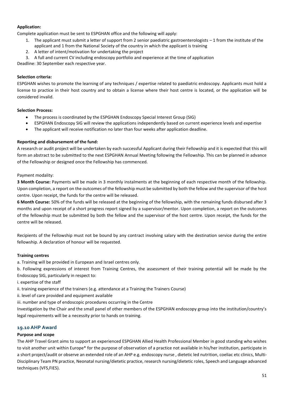# **Application:**

Complete application must be sent to ESPGHAN office and the following will apply:

- 1. The applicant must submit a letter of support from 2 senior paediatric gastroenterologists  $-1$  from the institute of the applicant and 1 from the National Society of the country in which the applicant is training
- 2. A letter of intent/motivation for undertaking the project

3. A full and current CV including endoscopy portfolio and experience at the time of application

Deadline: 30 September each respective year.

# **Selection criteria:**

ESPGHAN wishes to promote the learning of any techniques / expertise related to paediatric endoscopy. Applicants must hold a license to practice in their host country and to obtain a license where their host centre is located, or the application will be considered invalid.

# **Selection Process:**

- The process is coordinated by the ESPGHAN Endoscopy Special Interest Group (SIG)
- ESPGHAN Endoscopy SIG will review the applications independently based on current experience levels and expertise
- The applicant will receive notification no later than four weeks after application deadline.

# **Reporting and disbursement of the fund:**

A research or audit project will be undertaken by each successful Applicant during their Fellowship and it is expected that this will form an abstract to be submitted to the next ESPGHAN Annual Meeting following the Fellowship. This can be planned in advance of the Fellowship or designed once the Fellowship has commenced.

Payment modality:

**3 Month Course:** Payments will be made in 3 monthly instalments at the beginning of each respective month of the fellowship. Upon completion, a report on the outcomes of the fellowship must be submitted by both the fellow and the supervisor of the host centre. Upon receipt, the funds for the centre will be released.

**6 Month Course:** 50% of the funds will be released at the beginning of the fellowship, with the remaining funds disbursed after 3 months and upon receipt of a short progress report signed by a supervisor/mentor. Upon completion, a report on the outcomes of the fellowship must be submitted by both the fellow and the supervisor of the host centre. Upon receipt, the funds for the centre will be released.

Recipients of the Fellowship must not be bound by any contract involving salary with the destination service during the entire fellowship. A declaration of honour will be requested.

# **Training centres**

a. Training will be provided in European and Israel centres only.

b. Following expressions of interest from Training Centres, the assessment of their training potential will be made by the Endoscopy SIG, particularly in respect to:

i. expertise of the staff

ii. training experience of the trainers (e.g. attendance at a Training the Trainers Course)

ii. level of care provided and equipment available

iii. number and type of endoscopic procedures occurring in the Centre

Investigation by the Chair and the small panel of other members of the ESPGHAN endoscopy group into the institution/country's legal requirements will be a necessity prior to hands on training.

# <span id="page-50-0"></span>**19.10 AHP Award**

# **Purpose and scope**

The AHP Travel Grant aims to support an experienced ESPGHAN Allied Health Professional Member in good standing who wishes to visit another unit within Europe\* for the purpose of observation of a practice not available in his/her institution, participate in a short project/audit or observe an extended role of an AHP e.g. endoscopy nurse , dietetic led nutrition, coeliac etc clinics, Multi-Disciplinary Team PN practice, Neonatal nursing/dietetic practice, research nursing/dietetic roles, Speech and Language advanced techniques (VFS,FIES).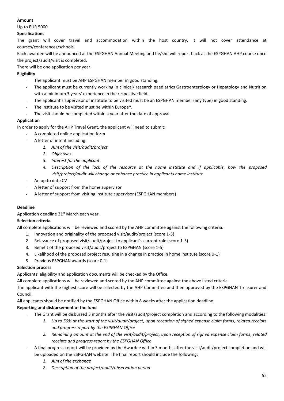# **Amount**

Up to EUR 5000

# **Specifications**

The grant will cover travel and accommodation within the host country. It will not cover attendance at courses/conferences/schools.

Each awardee will be announced at the ESPGHAN Annual Meeting and he/she will report back at the ESPGHAN AHP course once the project/audit/visit is completed.

There will be one application per year.

# **Eligibility**

- The applicant must be AHP ESPGHAN member in good standing.
- The applicant must be currently working in clinical/ research paediatrics Gastroenterology or Hepatology and Nutrition with a minimum 3 years' experience in the respective field.
- The applicant's supervisor of institute to be visited must be an ESPGHAN member (any type) in good standing.
- The institute to be visited must be within Europe\*.
- The visit should be completed within a year after the date of approval.

# **Application**

In order to apply for the AHP Travel Grant, the applicant will need to submit:

- A completed online application form
- A letter of intent including:
	- *1. Aim of the visit/audit/project*
	- *2. Objectives*
	- *3. Interest for the applicant*
	- *4. Description of the lack of the resource at the home institute and if applicable, how the proposed visit/project/audit will change or enhance practice in applicants home institute*
- An up to date CV
- A letter of support from the home supervisor
- A letter of support from visiting institute supervisor (ESPGHAN members)

# **Deadline**

Application deadline 31<sup>st</sup> March each year.

# **Selection criteria**

All complete applications will be reviewed and scored by the AHP committee against the following criteria:

- 1. Innovation and originality of the proposed visit/audit/project (score 1-5)
- 2. Relevance of proposed visit/audit/project to applicant's current role (score 1-5)
- 3. Benefit of the proposed visit/audit/project to ESPGHAN (score 1-5)
- 4. Likelihood of the proposed project resulting in a change in practice in home institute (score 0-1)
- 5. Previous ESPGHAN awards (score 0-1)

# **Selection process**

Applicants' eligibility and application documents will be checked by the Office.

All complete applications will be reviewed and scored by the AHP committee against the above listed criteria.

The applicant with the highest score will be selected by the AHP Committee and then approved by the ESPGHAN Treasurer and Council.

All applicants should be notified by the ESPGHAN Office within 8 weeks after the application deadline.

# **Reporting and disbursement of the fund**

- The Grant will be disbursed 3 months after the visit/audit/project completion and according to the following modalities:
	- *1. Up to 50% at the start of the visit/audit/project, upon reception of signed expense claim forms, related receipts and progress report by the ESPGHAN Office*
	- *2. Remaining amount at the end of the visit/audit/project, upon reception of signed expense claim forms, related receipts and progress report by the ESPGHAN Office*
- A final progress report will be provided by the Awardee within 3 months after the visit/audit/project completion and will be uploaded on the ESPGHAN website. The final report should include the following:
	- *1. Aim of the exchange*
	- *2. Description of the project/audit/observation period*